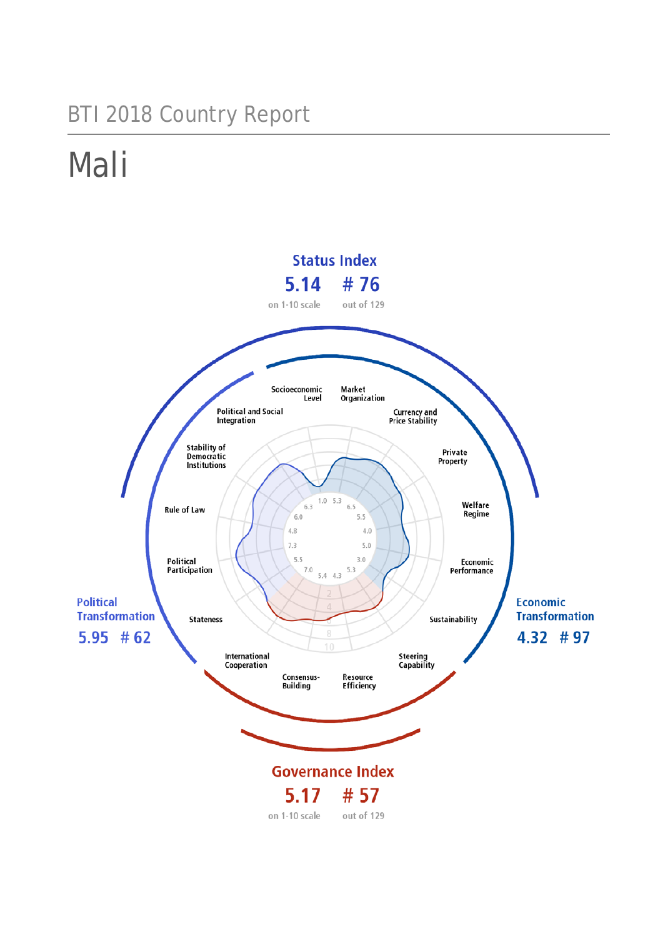## BTI 2018 Country Report

# Mali

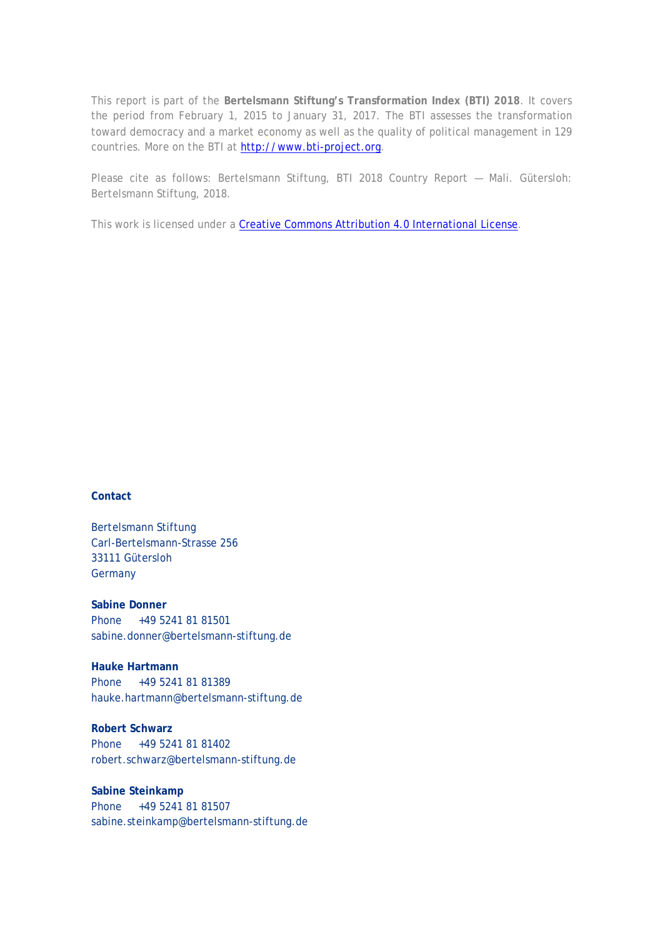This report is part of the **Bertelsmann Stiftung's Transformation Index (BTI) 2018**. It covers the period from February 1, 2015 to January 31, 2017. The BTI assesses the transformation toward democracy and a market economy as well as the quality of political management in 129 countries. More on the BTI at [http://www.bti-project.org.](http://www.bti-project.org/)

Please cite as follows: Bertelsmann Stiftung, BTI 2018 Country Report — Mali. Gütersloh: Bertelsmann Stiftung, 2018.

This work is licensed under a [Creative Commons Attribution 4.0 International License.](http://creativecommons.org/licenses/by/4.0/)

#### **Contact**

Bertelsmann Stiftung Carl-Bertelsmann-Strasse 256 33111 Gütersloh **Germany** 

**Sabine Donner** Phone +49 5241 81 81501 sabine.donner@bertelsmann-stiftung.de

**Hauke Hartmann** Phone +49 5241 81 81389 hauke.hartmann@bertelsmann-stiftung.de

**Robert Schwarz** Phone +49 5241 81 81402 robert.schwarz@bertelsmann-stiftung.de

**Sabine Steinkamp** Phone +49 5241 81 81507 sabine.steinkamp@bertelsmann-stiftung.de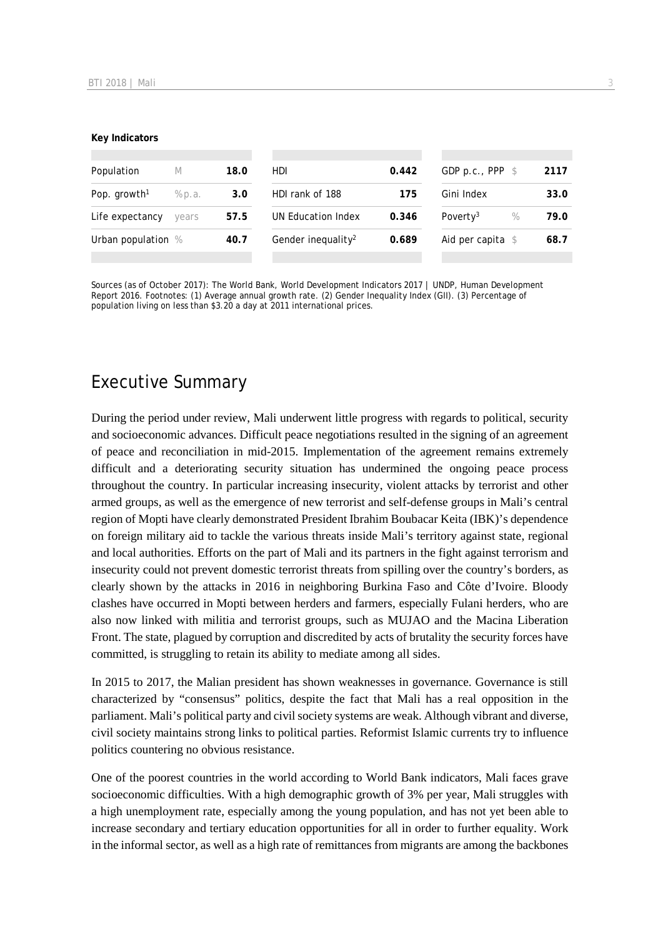#### **Key Indicators**

| Population<br>M          |        | 18.0 | HDI.                           | 0.442 | GDP p.c., PPP $$$            | 2117 |
|--------------------------|--------|------|--------------------------------|-------|------------------------------|------|
| Pop. growth <sup>1</sup> | % p.a. | 3.0  | HDI rank of 188                | 175   | Gini Index                   | 33.0 |
| Life expectancy          | years  | 57.5 | UN Education Index             | 0.346 | Poverty <sup>3</sup><br>$\%$ | 79.0 |
| Urban population %       |        | 40.7 | Gender inequality <sup>2</sup> | 0.689 | Aid per capita $$$           | 68.7 |
|                          |        |      |                                |       |                              |      |

Sources (as of October 2017): The World Bank, World Development Indicators 2017 | UNDP, Human Development Report 2016. Footnotes: (1) Average annual growth rate. (2) Gender Inequality Index (GII). (3) Percentage of population living on less than \$3.20 a day at 2011 international prices.

## Executive Summary

During the period under review, Mali underwent little progress with regards to political, security and socioeconomic advances. Difficult peace negotiations resulted in the signing of an agreement of peace and reconciliation in mid-2015. Implementation of the agreement remains extremely difficult and a deteriorating security situation has undermined the ongoing peace process throughout the country. In particular increasing insecurity, violent attacks by terrorist and other armed groups, as well as the emergence of new terrorist and self-defense groups in Mali's central region of Mopti have clearly demonstrated President Ibrahim Boubacar Keita (IBK)'s dependence on foreign military aid to tackle the various threats inside Mali's territory against state, regional and local authorities. Efforts on the part of Mali and its partners in the fight against terrorism and insecurity could not prevent domestic terrorist threats from spilling over the country's borders, as clearly shown by the attacks in 2016 in neighboring Burkina Faso and Côte d'Ivoire. Bloody clashes have occurred in Mopti between herders and farmers, especially Fulani herders, who are also now linked with militia and terrorist groups, such as MUJAO and the Macina Liberation Front. The state, plagued by corruption and discredited by acts of brutality the security forces have committed, is struggling to retain its ability to mediate among all sides.

In 2015 to 2017, the Malian president has shown weaknesses in governance. Governance is still characterized by "consensus" politics, despite the fact that Mali has a real opposition in the parliament. Mali's political party and civil society systems are weak. Although vibrant and diverse, civil society maintains strong links to political parties. Reformist Islamic currents try to influence politics countering no obvious resistance.

One of the poorest countries in the world according to World Bank indicators, Mali faces grave socioeconomic difficulties. With a high demographic growth of 3% per year, Mali struggles with a high unemployment rate, especially among the young population, and has not yet been able to increase secondary and tertiary education opportunities for all in order to further equality. Work in the informal sector, as well as a high rate of remittances from migrants are among the backbones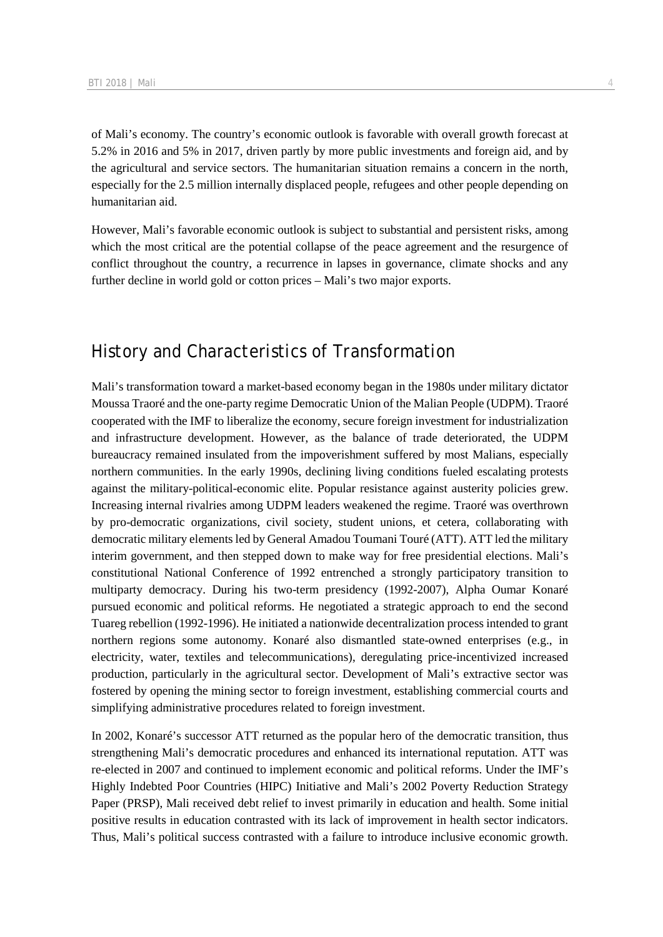of Mali's economy. The country's economic outlook is favorable with overall growth forecast at 5.2% in 2016 and 5% in 2017, driven partly by more public investments and foreign aid, and by the agricultural and service sectors. The humanitarian situation remains a concern in the north, especially for the 2.5 million internally displaced people, refugees and other people depending on humanitarian aid.

However, Mali's favorable economic outlook is subject to substantial and persistent risks, among which the most critical are the potential collapse of the peace agreement and the resurgence of conflict throughout the country, a recurrence in lapses in governance, climate shocks and any further decline in world gold or cotton prices – Mali's two major exports.

## History and Characteristics of Transformation

Mali's transformation toward a market-based economy began in the 1980s under military dictator Moussa Traoré and the one-party regime Democratic Union of the Malian People (UDPM). Traoré cooperated with the IMF to liberalize the economy, secure foreign investment for industrialization and infrastructure development. However, as the balance of trade deteriorated, the UDPM bureaucracy remained insulated from the impoverishment suffered by most Malians, especially northern communities. In the early 1990s, declining living conditions fueled escalating protests against the military-political-economic elite. Popular resistance against austerity policies grew. Increasing internal rivalries among UDPM leaders weakened the regime. Traoré was overthrown by pro-democratic organizations, civil society, student unions, et cetera, collaborating with democratic military elements led by General Amadou Toumani Touré (ATT). ATT led the military interim government, and then stepped down to make way for free presidential elections. Mali's constitutional National Conference of 1992 entrenched a strongly participatory transition to multiparty democracy. During his two-term presidency (1992-2007), Alpha Oumar Konaré pursued economic and political reforms. He negotiated a strategic approach to end the second Tuareg rebellion (1992-1996). He initiated a nationwide decentralization process intended to grant northern regions some autonomy. Konaré also dismantled state-owned enterprises (e.g., in electricity, water, textiles and telecommunications), deregulating price-incentivized increased production, particularly in the agricultural sector. Development of Mali's extractive sector was fostered by opening the mining sector to foreign investment, establishing commercial courts and simplifying administrative procedures related to foreign investment.

In 2002, Konaré's successor ATT returned as the popular hero of the democratic transition, thus strengthening Mali's democratic procedures and enhanced its international reputation. ATT was re-elected in 2007 and continued to implement economic and political reforms. Under the IMF's Highly Indebted Poor Countries (HIPC) Initiative and Mali's 2002 Poverty Reduction Strategy Paper (PRSP), Mali received debt relief to invest primarily in education and health. Some initial positive results in education contrasted with its lack of improvement in health sector indicators. Thus, Mali's political success contrasted with a failure to introduce inclusive economic growth.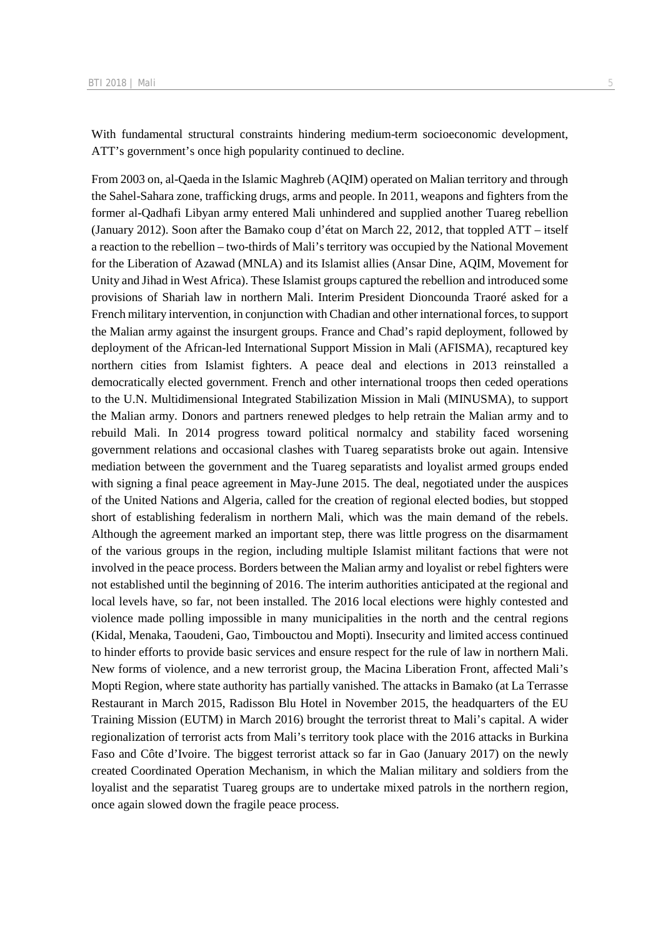With fundamental structural constraints hindering medium-term socioeconomic development, ATT's government's once high popularity continued to decline.

From 2003 on, al-Qaeda in the Islamic Maghreb (AQIM) operated on Malian territory and through the Sahel-Sahara zone, trafficking drugs, arms and people. In 2011, weapons and fighters from the former al-Qadhafi Libyan army entered Mali unhindered and supplied another Tuareg rebellion (January 2012). Soon after the Bamako coup d'état on March 22, 2012, that toppled ATT – itself a reaction to the rebellion – two-thirds of Mali's territory was occupied by the National Movement for the Liberation of Azawad (MNLA) and its Islamist allies (Ansar Dine, AQIM, Movement for Unity and Jihad in West Africa). These Islamist groups captured the rebellion and introduced some provisions of Shariah law in northern Mali. Interim President Dioncounda Traoré asked for a French military intervention, in conjunction with Chadian and other international forces, to support the Malian army against the insurgent groups. France and Chad's rapid deployment, followed by deployment of the African-led International Support Mission in Mali (AFISMA), recaptured key northern cities from Islamist fighters. A peace deal and elections in 2013 reinstalled a democratically elected government. French and other international troops then ceded operations to the U.N. Multidimensional Integrated Stabilization Mission in Mali (MINUSMA), to support the Malian army. Donors and partners renewed pledges to help retrain the Malian army and to rebuild Mali. In 2014 progress toward political normalcy and stability faced worsening government relations and occasional clashes with Tuareg separatists broke out again. Intensive mediation between the government and the Tuareg separatists and loyalist armed groups ended with signing a final peace agreement in May-June 2015. The deal, negotiated under the auspices of the United Nations and Algeria, called for the creation of regional elected bodies, but stopped short of establishing federalism in northern Mali, which was the main demand of the rebels. Although the agreement marked an important step, there was little progress on the disarmament of the various groups in the region, including multiple Islamist militant factions that were not involved in the peace process. Borders between the Malian army and loyalist or rebel fighters were not established until the beginning of 2016. The interim authorities anticipated at the regional and local levels have, so far, not been installed. The 2016 local elections were highly contested and violence made polling impossible in many municipalities in the north and the central regions (Kidal, Menaka, Taoudeni, Gao, Timbouctou and Mopti). Insecurity and limited access continued to hinder efforts to provide basic services and ensure respect for the rule of law in northern Mali. New forms of violence, and a new terrorist group, the Macina Liberation Front, affected Mali's Mopti Region, where state authority has partially vanished. The attacks in Bamako (at La Terrasse Restaurant in March 2015, Radisson Blu Hotel in November 2015, the headquarters of the EU Training Mission (EUTM) in March 2016) brought the terrorist threat to Mali's capital. A wider regionalization of terrorist acts from Mali's territory took place with the 2016 attacks in Burkina Faso and Côte d'Ivoire. The biggest terrorist attack so far in Gao (January 2017) on the newly created Coordinated Operation Mechanism, in which the Malian military and soldiers from the loyalist and the separatist Tuareg groups are to undertake mixed patrols in the northern region, once again slowed down the fragile peace process.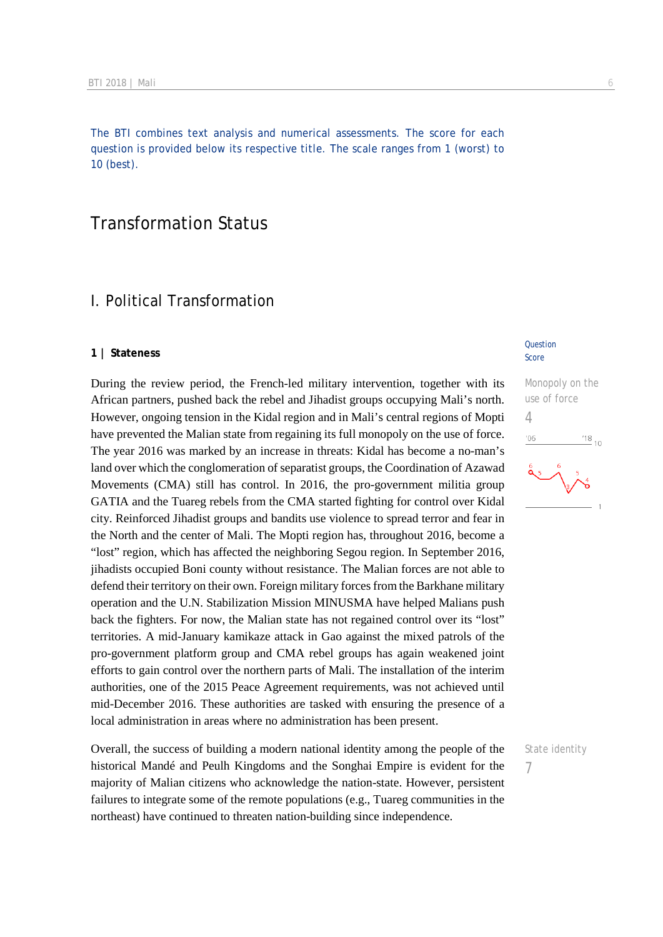The BTI combines text analysis and numerical assessments. The score for each question is provided below its respective title. The scale ranges from 1 (worst) to 10 (best).

## Transformation Status

## I. Political Transformation

#### **1 | Stateness**

During the review period, the French-led military intervention, together with its African partners, pushed back the rebel and Jihadist groups occupying Mali's north. However, ongoing tension in the Kidal region and in Mali's central regions of Mopti have prevented the Malian state from regaining its full monopoly on the use of force. The year 2016 was marked by an increase in threats: Kidal has become a no-man's land over which the conglomeration of separatist groups, the Coordination of Azawad Movements (CMA) still has control. In 2016, the pro-government militia group GATIA and the Tuareg rebels from the CMA started fighting for control over Kidal city. Reinforced Jihadist groups and bandits use violence to spread terror and fear in the North and the center of Mali. The Mopti region has, throughout 2016, become a "lost" region, which has affected the neighboring Segou region. In September 2016, jihadists occupied Boni county without resistance. The Malian forces are not able to defend their territory on their own. Foreign military forces from the Barkhane military operation and the U.N. Stabilization Mission MINUSMA have helped Malians push back the fighters. For now, the Malian state has not regained control over its "lost" territories. A mid-January kamikaze attack in Gao against the mixed patrols of the pro-government platform group and CMA rebel groups has again weakened joint efforts to gain control over the northern parts of Mali. The installation of the interim authorities, one of the 2015 Peace Agreement requirements, was not achieved until mid-December 2016. These authorities are tasked with ensuring the presence of a local administration in areas where no administration has been present.

Overall, the success of building a modern national identity among the people of the historical Mandé and Peulh Kingdoms and the Songhai Empire is evident for the majority of Malian citizens who acknowledge the nation-state. However, persistent failures to integrate some of the remote populations (e.g., Tuareg communities in the northeast) have continued to threaten nation-building since independence.

#### **Question** Score

Monopoly on the use of force 4  $\frac{18}{10}$  10  $06$ 

State identity

7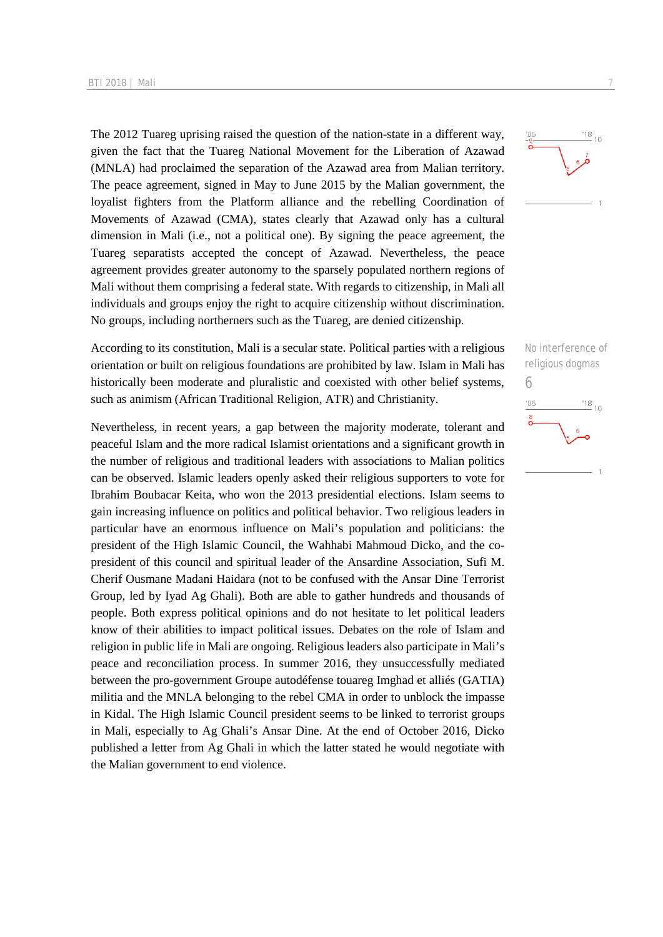The 2012 Tuareg uprising raised the question of the nation-state in a different way, given the fact that the Tuareg National Movement for the Liberation of Azawad (MNLA) had proclaimed the separation of the Azawad area from Malian territory. The peace agreement, signed in May to June 2015 by the Malian government, the loyalist fighters from the Platform alliance and the rebelling Coordination of Movements of Azawad (CMA), states clearly that Azawad only has a cultural dimension in Mali (i.e., not a political one). By signing the peace agreement, the Tuareg separatists accepted the concept of Azawad. Nevertheless, the peace agreement provides greater autonomy to the sparsely populated northern regions of Mali without them comprising a federal state. With regards to citizenship, in Mali all individuals and groups enjoy the right to acquire citizenship without discrimination. No groups, including northerners such as the Tuareg, are denied citizenship.

According to its constitution, Mali is a secular state. Political parties with a religious orientation or built on religious foundations are prohibited by law. Islam in Mali has historically been moderate and pluralistic and coexisted with other belief systems, such as animism (African Traditional Religion, ATR) and Christianity.

Nevertheless, in recent years, a gap between the majority moderate, tolerant and peaceful Islam and the more radical Islamist orientations and a significant growth in the number of religious and traditional leaders with associations to Malian politics can be observed. Islamic leaders openly asked their religious supporters to vote for Ibrahim Boubacar Keita, who won the 2013 presidential elections. Islam seems to gain increasing influence on politics and political behavior. Two religious leaders in particular have an enormous influence on Mali's population and politicians: the president of the High Islamic Council, the Wahhabi Mahmoud Dicko, and the copresident of this council and spiritual leader of the Ansardine Association, Sufi M. Cherif Ousmane Madani Haidara (not to be confused with the Ansar Dine Terrorist Group, led by Iyad Ag Ghali). Both are able to gather hundreds and thousands of people. Both express political opinions and do not hesitate to let political leaders know of their abilities to impact political issues. Debates on the role of Islam and religion in public life in Mali are ongoing. Religious leaders also participate in Mali's peace and reconciliation process. In summer 2016, they unsuccessfully mediated between the pro-government Groupe autodéfense touareg Imghad et alliés (GATIA) militia and the MNLA belonging to the rebel CMA in order to unblock the impasse in Kidal. The High Islamic Council president seems to be linked to terrorist groups in Mali, especially to Ag Ghali's Ansar Dine. At the end of October 2016, Dicko published a letter from Ag Ghali in which the latter stated he would negotiate with the Malian government to end violence.



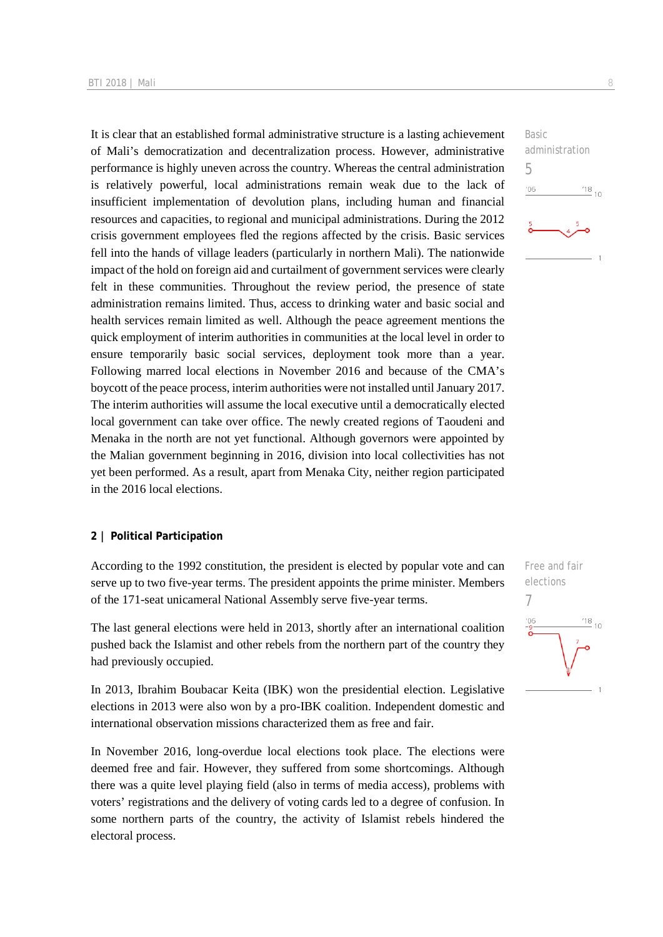It is clear that an established formal administrative structure is a lasting achievement of Mali's democratization and decentralization process. However, administrative performance is highly uneven across the country. Whereas the central administration is relatively powerful, local administrations remain weak due to the lack of insufficient implementation of devolution plans, including human and financial resources and capacities, to regional and municipal administrations. During the 2012 crisis government employees fled the regions affected by the crisis. Basic services fell into the hands of village leaders (particularly in northern Mali). The nationwide impact of the hold on foreign aid and curtailment of government services were clearly felt in these communities. Throughout the review period, the presence of state administration remains limited. Thus, access to drinking water and basic social and health services remain limited as well. Although the peace agreement mentions the quick employment of interim authorities in communities at the local level in order to ensure temporarily basic social services, deployment took more than a year. Following marred local elections in November 2016 and because of the CMA's boycott of the peace process, interim authorities were not installed until January 2017. The interim authorities will assume the local executive until a democratically elected local government can take over office. The newly created regions of Taoudeni and Menaka in the north are not yet functional. Although governors were appointed by the Malian government beginning in 2016, division into local collectivities has not yet been performed. As a result, apart from Menaka City, neither region participated in the 2016 local elections.

#### **2 | Political Participation**

According to the 1992 constitution, the president is elected by popular vote and can serve up to two five-year terms. The president appoints the prime minister. Members of the 171-seat unicameral National Assembly serve five-year terms.

The last general elections were held in 2013, shortly after an international coalition pushed back the Islamist and other rebels from the northern part of the country they had previously occupied.

In 2013, Ibrahim Boubacar Keita (IBK) won the presidential election. Legislative elections in 2013 were also won by a pro-IBK coalition. Independent domestic and international observation missions characterized them as free and fair.

In November 2016, long-overdue local elections took place. The elections were deemed free and fair. However, they suffered from some shortcomings. Although there was a quite level playing field (also in terms of media access), problems with voters' registrations and the delivery of voting cards led to a degree of confusion. In some northern parts of the country, the activity of Islamist rebels hindered the electoral process.



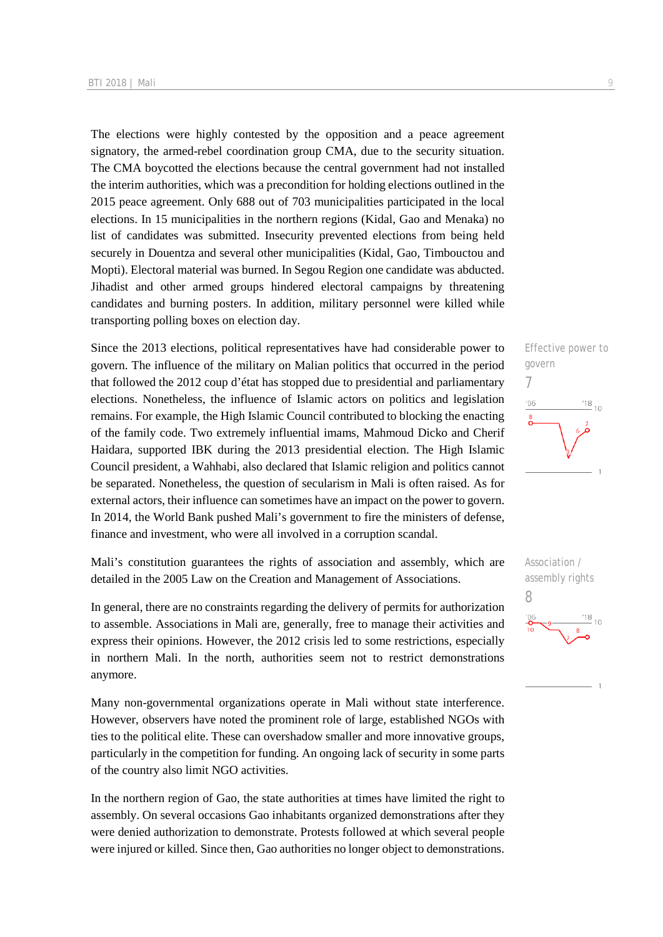The elections were highly contested by the opposition and a peace agreement signatory, the armed-rebel coordination group CMA, due to the security situation. The CMA boycotted the elections because the central government had not installed the interim authorities, which was a precondition for holding elections outlined in the 2015 peace agreement. Only 688 out of 703 municipalities participated in the local elections. In 15 municipalities in the northern regions (Kidal, Gao and Menaka) no list of candidates was submitted. Insecurity prevented elections from being held securely in Douentza and several other municipalities (Kidal, Gao, Timbouctou and Mopti). Electoral material was burned. In Segou Region one candidate was abducted. Jihadist and other armed groups hindered electoral campaigns by threatening candidates and burning posters. In addition, military personnel were killed while transporting polling boxes on election day.

Since the 2013 elections, political representatives have had considerable power to govern. The influence of the military on Malian politics that occurred in the period that followed the 2012 coup d'état has stopped due to presidential and parliamentary elections. Nonetheless, the influence of Islamic actors on politics and legislation remains. For example, the High Islamic Council contributed to blocking the enacting of the family code. Two extremely influential imams, Mahmoud Dicko and Cherif Haidara, supported IBK during the 2013 presidential election. The High Islamic Council president, a Wahhabi, also declared that Islamic religion and politics cannot be separated. Nonetheless, the question of secularism in Mali is often raised. As for external actors, their influence can sometimes have an impact on the power to govern. In 2014, the World Bank pushed Mali's government to fire the ministers of defense, finance and investment, who were all involved in a corruption scandal.

Mali's constitution guarantees the rights of association and assembly, which are detailed in the 2005 Law on the Creation and Management of Associations.

In general, there are no constraints regarding the delivery of permits for authorization to assemble. Associations in Mali are, generally, free to manage their activities and express their opinions. However, the 2012 crisis led to some restrictions, especially in northern Mali. In the north, authorities seem not to restrict demonstrations anymore.

Many non-governmental organizations operate in Mali without state interference. However, observers have noted the prominent role of large, established NGOs with ties to the political elite. These can overshadow smaller and more innovative groups, particularly in the competition for funding. An ongoing lack of security in some parts of the country also limit NGO activities.

In the northern region of Gao, the state authorities at times have limited the right to assembly. On several occasions Gao inhabitants organized demonstrations after they were denied authorization to demonstrate. Protests followed at which several people were injured or killed. Since then, Gao authorities no longer object to demonstrations.



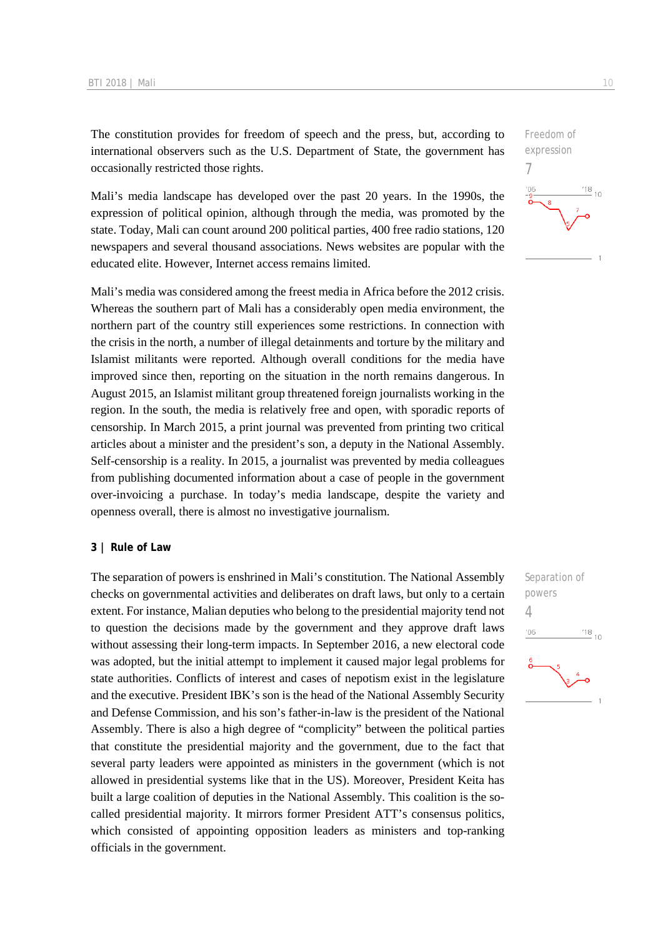The constitution provides for freedom of speech and the press, but, according to international observers such as the U.S. Department of State, the government has occasionally restricted those rights.

Mali's media landscape has developed over the past 20 years. In the 1990s, the expression of political opinion, although through the media, was promoted by the state. Today, Mali can count around 200 political parties, 400 free radio stations, 120 newspapers and several thousand associations. News websites are popular with the educated elite. However, Internet access remains limited.

Mali's media was considered among the freest media in Africa before the 2012 crisis. Whereas the southern part of Mali has a considerably open media environment, the northern part of the country still experiences some restrictions. In connection with the crisis in the north, a number of illegal detainments and torture by the military and Islamist militants were reported. Although overall conditions for the media have improved since then, reporting on the situation in the north remains dangerous. In August 2015, an Islamist militant group threatened foreign journalists working in the region. In the south, the media is relatively free and open, with sporadic reports of censorship. In March 2015, a print journal was prevented from printing two critical articles about a minister and the president's son, a deputy in the National Assembly. Self-censorship is a reality. In 2015, a journalist was prevented by media colleagues from publishing documented information about a case of people in the government over-invoicing a purchase. In today's media landscape, despite the variety and openness overall, there is almost no investigative journalism.

#### **3 | Rule of Law**

The separation of powers is enshrined in Mali's constitution. The National Assembly checks on governmental activities and deliberates on draft laws, but only to a certain extent. For instance, Malian deputies who belong to the presidential majority tend not to question the decisions made by the government and they approve draft laws without assessing their long-term impacts. In September 2016, a new electoral code was adopted, but the initial attempt to implement it caused major legal problems for state authorities. Conflicts of interest and cases of nepotism exist in the legislature and the executive. President IBK's son is the head of the National Assembly Security and Defense Commission, and his son's father-in-law is the president of the National Assembly. There is also a high degree of "complicity" between the political parties that constitute the presidential majority and the government, due to the fact that several party leaders were appointed as ministers in the government (which is not allowed in presidential systems like that in the US). Moreover, President Keita has built a large coalition of deputies in the National Assembly. This coalition is the socalled presidential majority. It mirrors former President ATT's consensus politics, which consisted of appointing opposition leaders as ministers and top-ranking officials in the government.



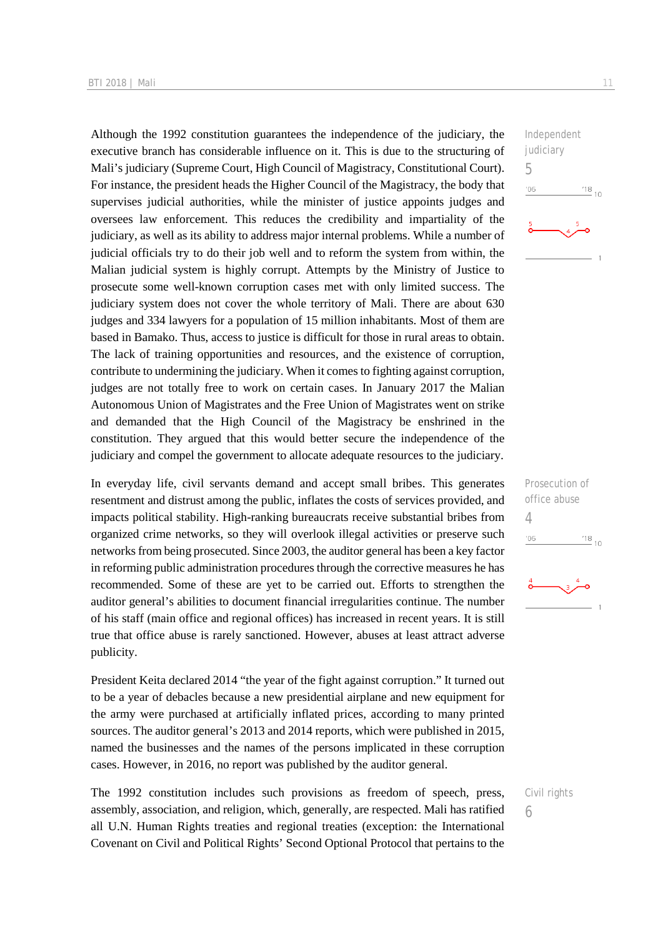Although the 1992 constitution guarantees the independence of the judiciary, the executive branch has considerable influence on it. This is due to the structuring of Mali's judiciary (Supreme Court, High Council of Magistracy, Constitutional Court). For instance, the president heads the Higher Council of the Magistracy, the body that supervises judicial authorities, while the minister of justice appoints judges and oversees law enforcement. This reduces the credibility and impartiality of the judiciary, as well as its ability to address major internal problems. While a number of judicial officials try to do their job well and to reform the system from within, the Malian judicial system is highly corrupt. Attempts by the Ministry of Justice to prosecute some well-known corruption cases met with only limited success. The judiciary system does not cover the whole territory of Mali. There are about 630 judges and 334 lawyers for a population of 15 million inhabitants. Most of them are based in Bamako. Thus, access to justice is difficult for those in rural areas to obtain. The lack of training opportunities and resources, and the existence of corruption, contribute to undermining the judiciary. When it comes to fighting against corruption, judges are not totally free to work on certain cases. In January 2017 the Malian Autonomous Union of Magistrates and the Free Union of Magistrates went on strike and demanded that the High Council of the Magistracy be enshrined in the constitution. They argued that this would better secure the independence of the judiciary and compel the government to allocate adequate resources to the judiciary.

In everyday life, civil servants demand and accept small bribes. This generates resentment and distrust among the public, inflates the costs of services provided, and impacts political stability. High-ranking bureaucrats receive substantial bribes from organized crime networks, so they will overlook illegal activities or preserve such networks from being prosecuted. Since 2003, the auditor general has been a key factor in reforming public administration procedures through the corrective measures he has recommended. Some of these are yet to be carried out. Efforts to strengthen the auditor general's abilities to document financial irregularities continue. The number of his staff (main office and regional offices) has increased in recent years. It is still true that office abuse is rarely sanctioned. However, abuses at least attract adverse publicity.

President Keita declared 2014 "the year of the fight against corruption." It turned out to be a year of debacles because a new presidential airplane and new equipment for the army were purchased at artificially inflated prices, according to many printed sources. The auditor general's 2013 and 2014 reports, which were published in 2015, named the businesses and the names of the persons implicated in these corruption cases. However, in 2016, no report was published by the auditor general.

The 1992 constitution includes such provisions as freedom of speech, press, assembly, association, and religion, which, generally, are respected. Mali has ratified all U.N. Human Rights treaties and regional treaties (exception: the International Covenant on Civil and Political Rights' Second Optional Protocol that pertains to the



Prosecution of office abuse 4  $^{18}_{-10}$  $06'$ 

6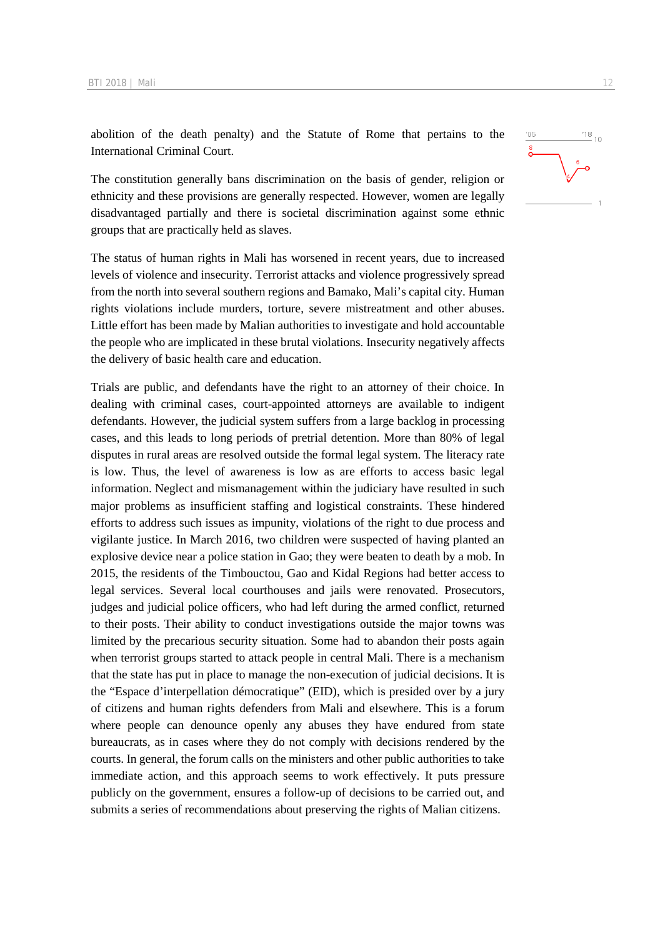abolition of the death penalty) and the Statute of Rome that pertains to the International Criminal Court.

The constitution generally bans discrimination on the basis of gender, religion or ethnicity and these provisions are generally respected. However, women are legally disadvantaged partially and there is societal discrimination against some ethnic groups that are practically held as slaves.

The status of human rights in Mali has worsened in recent years, due to increased levels of violence and insecurity. Terrorist attacks and violence progressively spread from the north into several southern regions and Bamako, Mali's capital city. Human rights violations include murders, torture, severe mistreatment and other abuses. Little effort has been made by Malian authorities to investigate and hold accountable the people who are implicated in these brutal violations. Insecurity negatively affects the delivery of basic health care and education.

Trials are public, and defendants have the right to an attorney of their choice. In dealing with criminal cases, court-appointed attorneys are available to indigent defendants. However, the judicial system suffers from a large backlog in processing cases, and this leads to long periods of pretrial detention. More than 80% of legal disputes in rural areas are resolved outside the formal legal system. The literacy rate is low. Thus, the level of awareness is low as are efforts to access basic legal information. Neglect and mismanagement within the judiciary have resulted in such major problems as insufficient staffing and logistical constraints. These hindered efforts to address such issues as impunity, violations of the right to due process and vigilante justice. In March 2016, two children were suspected of having planted an explosive device near a police station in Gao; they were beaten to death by a mob. In 2015, the residents of the Timbouctou, Gao and Kidal Regions had better access to legal services. Several local courthouses and jails were renovated. Prosecutors, judges and judicial police officers, who had left during the armed conflict, returned to their posts. Their ability to conduct investigations outside the major towns was limited by the precarious security situation. Some had to abandon their posts again when terrorist groups started to attack people in central Mali. There is a mechanism that the state has put in place to manage the non-execution of judicial decisions. It is the "Espace d'interpellation démocratique" (EID), which is presided over by a jury of citizens and human rights defenders from Mali and elsewhere. This is a forum where people can denounce openly any abuses they have endured from state bureaucrats, as in cases where they do not comply with decisions rendered by the courts. In general, the forum calls on the ministers and other public authorities to take immediate action, and this approach seems to work effectively. It puts pressure publicly on the government, ensures a follow-up of decisions to be carried out, and submits a series of recommendations about preserving the rights of Malian citizens.

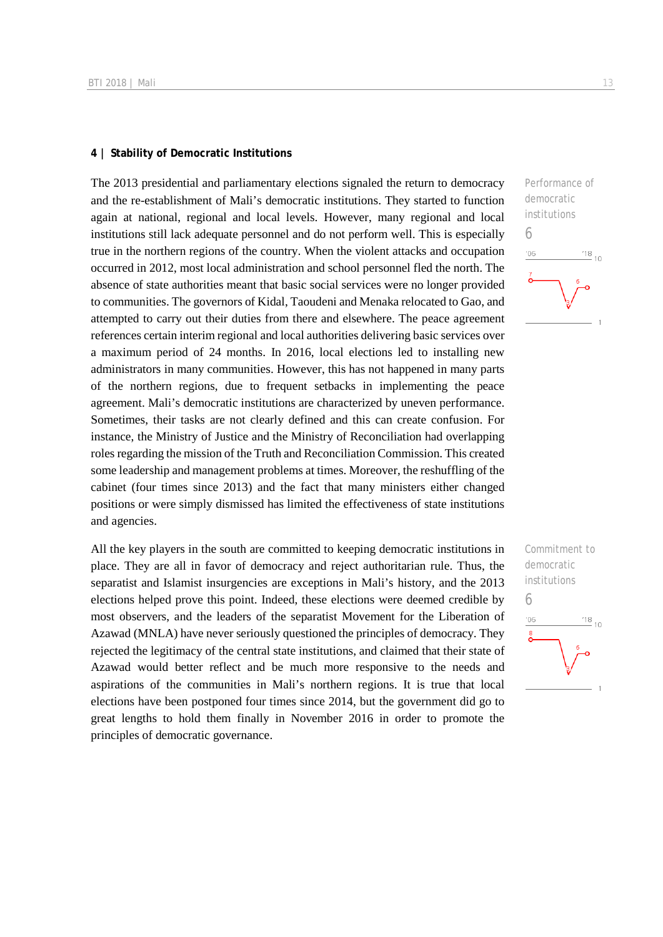#### **4 | Stability of Democratic Institutions**

The 2013 presidential and parliamentary elections signaled the return to democracy and the re-establishment of Mali's democratic institutions. They started to function again at national, regional and local levels. However, many regional and local institutions still lack adequate personnel and do not perform well. This is especially true in the northern regions of the country. When the violent attacks and occupation occurred in 2012, most local administration and school personnel fled the north. The absence of state authorities meant that basic social services were no longer provided to communities. The governors of Kidal, Taoudeni and Menaka relocated to Gao, and attempted to carry out their duties from there and elsewhere. The peace agreement references certain interim regional and local authorities delivering basic services over a maximum period of 24 months. In 2016, local elections led to installing new administrators in many communities. However, this has not happened in many parts of the northern regions, due to frequent setbacks in implementing the peace agreement. Mali's democratic institutions are characterized by uneven performance. Sometimes, their tasks are not clearly defined and this can create confusion. For instance, the Ministry of Justice and the Ministry of Reconciliation had overlapping roles regarding the mission of the Truth and Reconciliation Commission. This created some leadership and management problems at times. Moreover, the reshuffling of the cabinet (four times since 2013) and the fact that many ministers either changed positions or were simply dismissed has limited the effectiveness of state institutions and agencies.

All the key players in the south are committed to keeping democratic institutions in place. They are all in favor of democracy and reject authoritarian rule. Thus, the separatist and Islamist insurgencies are exceptions in Mali's history, and the 2013 elections helped prove this point. Indeed, these elections were deemed credible by most observers, and the leaders of the separatist Movement for the Liberation of Azawad (MNLA) have never seriously questioned the principles of democracy. They rejected the legitimacy of the central state institutions, and claimed that their state of Azawad would better reflect and be much more responsive to the needs and aspirations of the communities in Mali's northern regions. It is true that local elections have been postponed four times since 2014, but the government did go to great lengths to hold them finally in November 2016 in order to promote the principles of democratic governance.



Commitment to democratic institutions 6 $\frac{18}{10}$  10 ng.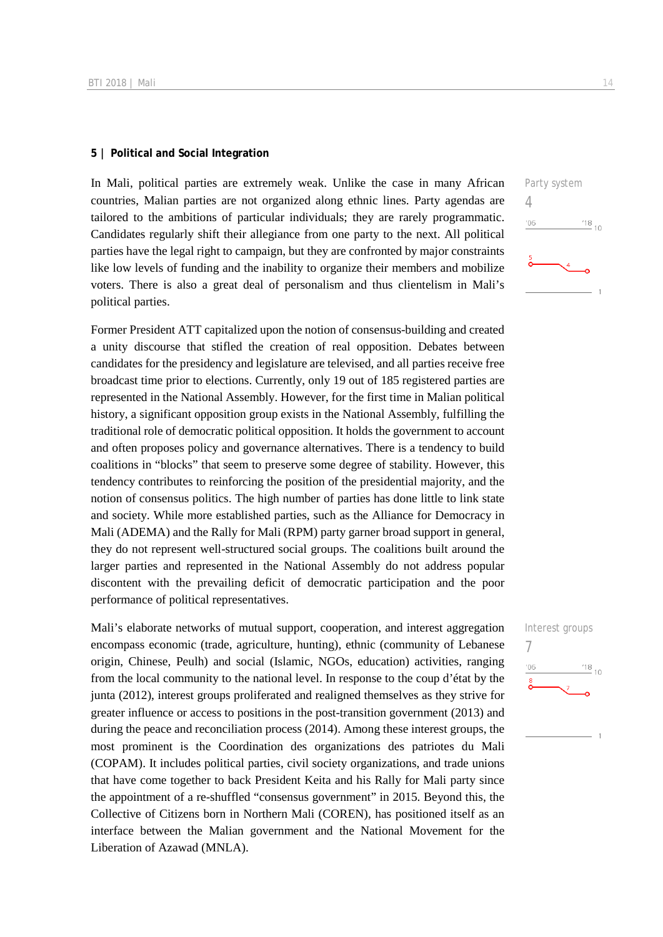#### **5 | Political and Social Integration**

In Mali, political parties are extremely weak. Unlike the case in many African countries, Malian parties are not organized along ethnic lines. Party agendas are tailored to the ambitions of particular individuals; they are rarely programmatic. Candidates regularly shift their allegiance from one party to the next. All political parties have the legal right to campaign, but they are confronted by major constraints like low levels of funding and the inability to organize their members and mobilize voters. There is also a great deal of personalism and thus clientelism in Mali's political parties.

Former President ATT capitalized upon the notion of consensus-building and created a unity discourse that stifled the creation of real opposition. Debates between candidates for the presidency and legislature are televised, and all parties receive free broadcast time prior to elections. Currently, only 19 out of 185 registered parties are represented in the National Assembly. However, for the first time in Malian political history, a significant opposition group exists in the National Assembly, fulfilling the traditional role of democratic political opposition. It holds the government to account and often proposes policy and governance alternatives. There is a tendency to build coalitions in "blocks" that seem to preserve some degree of stability. However, this tendency contributes to reinforcing the position of the presidential majority, and the notion of consensus politics. The high number of parties has done little to link state and society. While more established parties, such as the Alliance for Democracy in Mali (ADEMA) and the Rally for Mali (RPM) party garner broad support in general, they do not represent well-structured social groups. The coalitions built around the larger parties and represented in the National Assembly do not address popular discontent with the prevailing deficit of democratic participation and the poor performance of political representatives.

Mali's elaborate networks of mutual support, cooperation, and interest aggregation encompass economic (trade, agriculture, hunting), ethnic (community of Lebanese origin, Chinese, Peulh) and social (Islamic, NGOs, education) activities, ranging from the local community to the national level. In response to the coup d'état by the junta (2012), interest groups proliferated and realigned themselves as they strive for greater influence or access to positions in the post-transition government (2013) and during the peace and reconciliation process (2014). Among these interest groups, the most prominent is the Coordination des organizations des patriotes du Mali (COPAM). It includes political parties, civil society organizations, and trade unions that have come together to back President Keita and his Rally for Mali party since the appointment of a re-shuffled "consensus government" in 2015. Beyond this, the Collective of Citizens born in Northern Mali (COREN), has positioned itself as an interface between the Malian government and the National Movement for the Liberation of Azawad (MNLA).

Party system 4  $^{118}$  10  $06'$ 

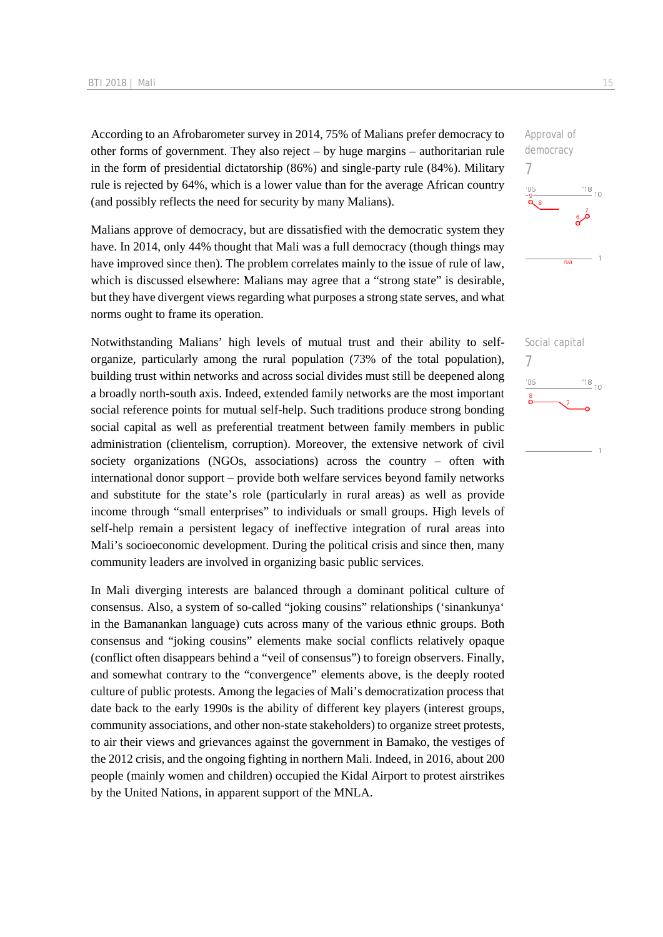According to an Afrobarometer survey in 2014, 75% of Malians prefer democracy to other forms of government. They also reject – by huge margins – authoritarian rule in the form of presidential dictatorship (86%) and single-party rule (84%). Military rule is rejected by 64%, which is a lower value than for the average African country (and possibly reflects the need for security by many Malians).

Malians approve of democracy, but are dissatisfied with the democratic system they have. In 2014, only 44% thought that Mali was a full democracy (though things may have improved since then). The problem correlates mainly to the issue of rule of law, which is discussed elsewhere: Malians may agree that a "strong state" is desirable, but they have divergent views regarding what purposes a strong state serves, and what norms ought to frame its operation.

Notwithstanding Malians' high levels of mutual trust and their ability to selforganize, particularly among the rural population (73% of the total population), building trust within networks and across social divides must still be deepened along a broadly north-south axis. Indeed, extended family networks are the most important social reference points for mutual self-help. Such traditions produce strong bonding social capital as well as preferential treatment between family members in public administration (clientelism, corruption). Moreover, the extensive network of civil society organizations (NGOs, associations) across the country – often with international donor support – provide both welfare services beyond family networks and substitute for the state's role (particularly in rural areas) as well as provide income through "small enterprises" to individuals or small groups. High levels of self-help remain a persistent legacy of ineffective integration of rural areas into Mali's socioeconomic development. During the political crisis and since then, many community leaders are involved in organizing basic public services.

In Mali diverging interests are balanced through a dominant political culture of consensus. Also, a system of so-called "joking cousins" relationships ('sinankunya' in the Bamanankan language) cuts across many of the various ethnic groups. Both consensus and "joking cousins" elements make social conflicts relatively opaque (conflict often disappears behind a "veil of consensus") to foreign observers. Finally, and somewhat contrary to the "convergence" elements above, is the deeply rooted culture of public protests. Among the legacies of Mali's democratization process that date back to the early 1990s is the ability of different key players (interest groups, community associations, and other non-state stakeholders) to organize street protests, to air their views and grievances against the government in Bamako, the vestiges of the 2012 crisis, and the ongoing fighting in northern Mali. Indeed, in 2016, about 200 people (mainly women and children) occupied the Kidal Airport to protest airstrikes by the United Nations, in apparent support of the MNLA.



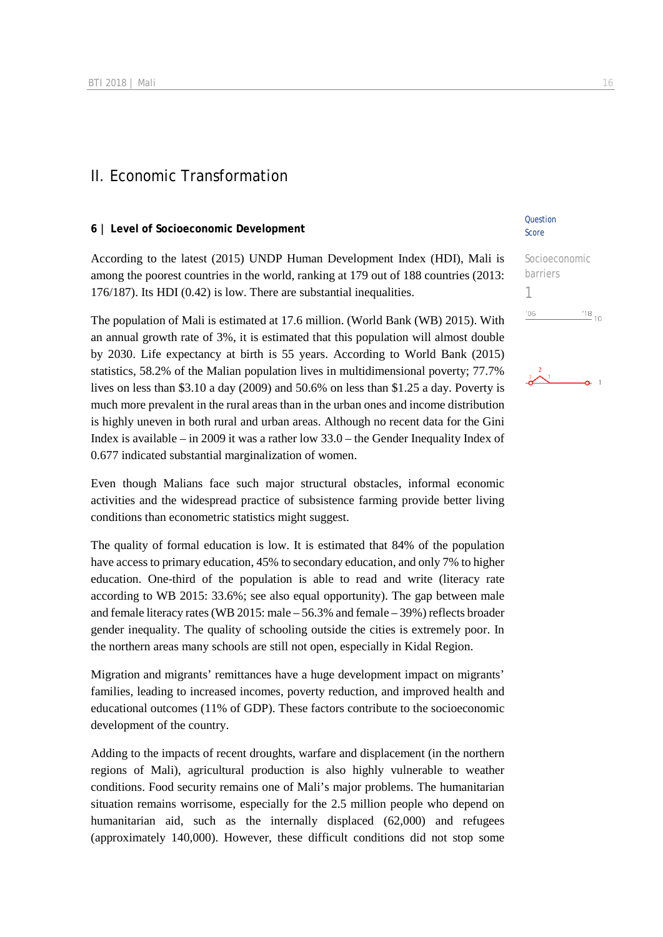## II. Economic Transformation

#### **6 | Level of Socioeconomic Development**

According to the latest (2015) UNDP Human Development Index (HDI), Mali is among the poorest countries in the world, ranking at 179 out of 188 countries (2013: 176/187). Its HDI (0.42) is low. There are substantial inequalities.

The population of Mali is estimated at 17.6 million. (World Bank (WB) 2015). With an annual growth rate of 3%, it is estimated that this population will almost double by 2030. Life expectancy at birth is 55 years. According to World Bank (2015) statistics, 58.2% of the Malian population lives in multidimensional poverty; 77.7% lives on less than \$3.10 a day (2009) and 50.6% on less than \$1.25 a day. Poverty is much more prevalent in the rural areas than in the urban ones and income distribution is highly uneven in both rural and urban areas. Although no recent data for the Gini Index is available – in 2009 it was a rather low 33.0 – the Gender Inequality Index of 0.677 indicated substantial marginalization of women.

Even though Malians face such major structural obstacles, informal economic activities and the widespread practice of subsistence farming provide better living conditions than econometric statistics might suggest.

The quality of formal education is low. It is estimated that 84% of the population have access to primary education, 45% to secondary education, and only 7% to higher education. One-third of the population is able to read and write (literacy rate according to WB 2015: 33.6%; see also equal opportunity). The gap between male and female literacy rates (WB 2015: male – 56.3% and female – 39%) reflects broader gender inequality. The quality of schooling outside the cities is extremely poor. In the northern areas many schools are still not open, especially in Kidal Region.

Migration and migrants' remittances have a huge development impact on migrants' families, leading to increased incomes, poverty reduction, and improved health and educational outcomes (11% of GDP). These factors contribute to the socioeconomic development of the country.

Adding to the impacts of recent droughts, warfare and displacement (in the northern regions of Mali), agricultural production is also highly vulnerable to weather conditions. Food security remains one of Mali's major problems. The humanitarian situation remains worrisome, especially for the 2.5 million people who depend on humanitarian aid, such as the internally displaced (62,000) and refugees (approximately 140,000). However, these difficult conditions did not stop some

#### **Question** Score

| Socioeconomic |                                             |
|---------------|---------------------------------------------|
| barriers      |                                             |
|               |                                             |
| '06           | $^{\prime}$ 18 $_{\circ}$<br>1 <sub>0</sub> |
|               |                                             |

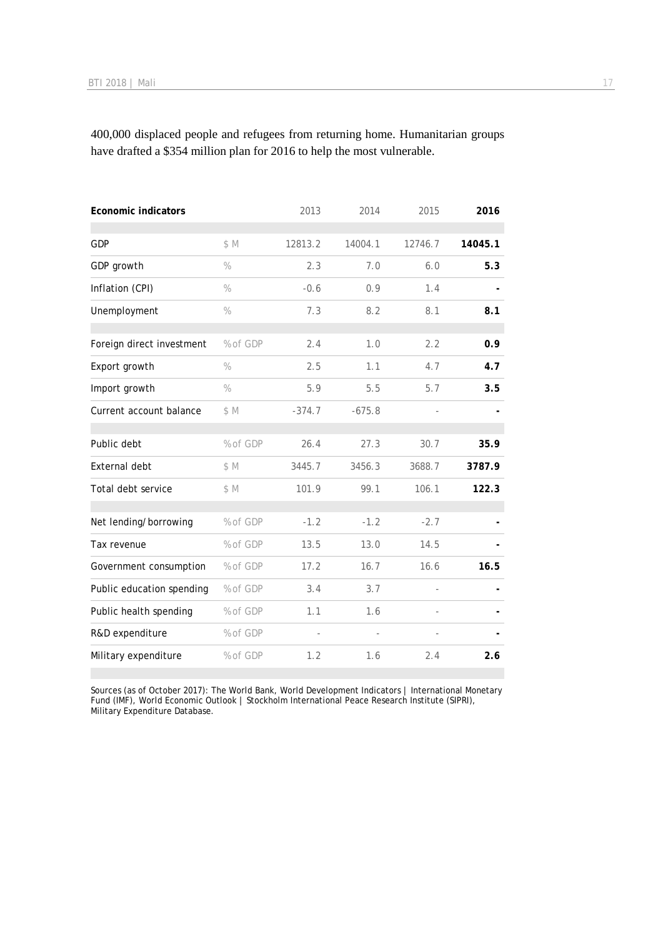400,000 displaced people and refugees from returning home. Humanitarian groups have drafted a \$354 million plan for 2016 to help the most vulnerable.

| <b>Economic indicators</b> |               | 2013     | 2014     | 2015    | 2016    |
|----------------------------|---------------|----------|----------|---------|---------|
| GDP                        | \$M           | 12813.2  | 14004.1  | 12746.7 | 14045.1 |
| GDP growth                 | $\frac{0}{0}$ | 2.3      | 7.0      | 6.0     | 5.3     |
| Inflation (CPI)            | $\%$          | $-0.6$   | 0.9      | 1.4     |         |
| Unemployment               | $\frac{0}{0}$ | 7.3      | 8.2      | 8.1     | 8.1     |
| Foreign direct investment  | % of GDP      | 2.4      | 1.0      | 2.2     | 0.9     |
| Export growth              | $\%$          | 2.5      | 1.1      | 4.7     | 4.7     |
| Import growth              | $\%$          | 5.9      | 5.5      | 5.7     | 3.5     |
| Current account balance    | \$M           | $-374.7$ | $-675.8$ |         |         |
| Public debt                | % of GDP      | 26.4     | 27.3     | 30.7    | 35.9    |
| External debt              | \$M           | 3445.7   | 3456.3   | 3688.7  | 3787.9  |
| Total debt service         | \$M           | 101.9    | 99.1     | 106.1   | 122.3   |
| Net lending/borrowing      | % of GDP      | $-1.2$   | $-1.2$   | $-2.7$  |         |
| Tax revenue                | % of GDP      | 13.5     | 13.0     | 14.5    |         |
| Government consumption     | % of GDP      | 17.2     | 16.7     | 16.6    | 16.5    |
| Public education spending  | % of GDP      | 3.4      | 3.7      |         |         |
| Public health spending     | % of GDP      | 1.1      | 1.6      |         |         |
| R&D expenditure            | % of GDP      |          |          |         |         |
| Military expenditure       | % of GDP      | 1.2      | 1.6      | 2.4     | 2.6     |
|                            |               |          |          |         |         |

Sources (as of October 2017): The World Bank, World Development Indicators | International Monetary Fund (IMF), World Economic Outlook | Stockholm International Peace Research Institute (SIPRI), Military Expenditure Database.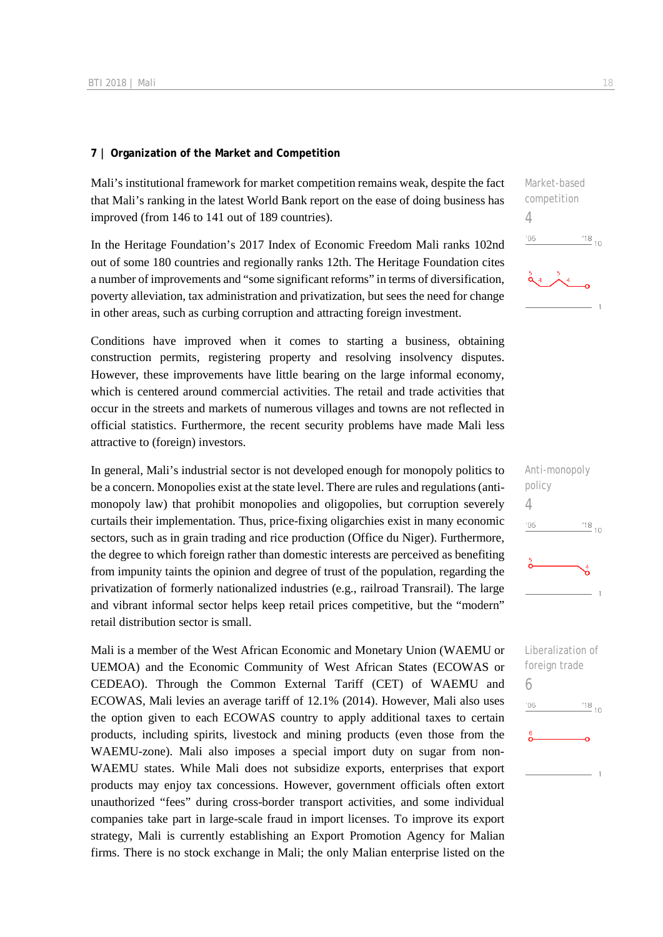#### **7 | Organization of the Market and Competition**

Mali's institutional framework for market competition remains weak, despite the fact that Mali's ranking in the latest World Bank report on the ease of doing business has improved (from 146 to 141 out of 189 countries).

In the Heritage Foundation's 2017 Index of Economic Freedom Mali ranks 102nd out of some 180 countries and regionally ranks 12th. The Heritage Foundation cites a number of improvements and "some significant reforms" in terms of diversification, poverty alleviation, tax administration and privatization, but sees the need for change in other areas, such as curbing corruption and attracting foreign investment.

Conditions have improved when it comes to starting a business, obtaining construction permits, registering property and resolving insolvency disputes. However, these improvements have little bearing on the large informal economy, which is centered around commercial activities. The retail and trade activities that occur in the streets and markets of numerous villages and towns are not reflected in official statistics. Furthermore, the recent security problems have made Mali less attractive to (foreign) investors.

In general, Mali's industrial sector is not developed enough for monopoly politics to be a concern. Monopolies exist at the state level. There are rules and regulations (antimonopoly law) that prohibit monopolies and oligopolies, but corruption severely curtails their implementation. Thus, price-fixing oligarchies exist in many economic sectors, such as in grain trading and rice production (Office du Niger). Furthermore, the degree to which foreign rather than domestic interests are perceived as benefiting from impunity taints the opinion and degree of trust of the population, regarding the privatization of formerly nationalized industries (e.g., railroad Transrail). The large and vibrant informal sector helps keep retail prices competitive, but the "modern" retail distribution sector is small.

Mali is a member of the West African Economic and Monetary Union (WAEMU or UEMOA) and the Economic Community of West African States (ECOWAS or CEDEAO). Through the Common External Tariff (CET) of WAEMU and ECOWAS, Mali levies an average tariff of 12.1% (2014). However, Mali also uses the option given to each ECOWAS country to apply additional taxes to certain products, including spirits, livestock and mining products (even those from the WAEMU-zone). Mali also imposes a special import duty on sugar from non-WAEMU states. While Mali does not subsidize exports, enterprises that export products may enjoy tax concessions. However, government officials often extort unauthorized "fees" during cross-border transport activities, and some individual companies take part in large-scale fraud in import licenses. To improve its export strategy, Mali is currently establishing an Export Promotion Agency for Malian firms. There is no stock exchange in Mali; the only Malian enterprise listed on the

Market-based competition 4  $^{18}_{-10}$  $-06$ 



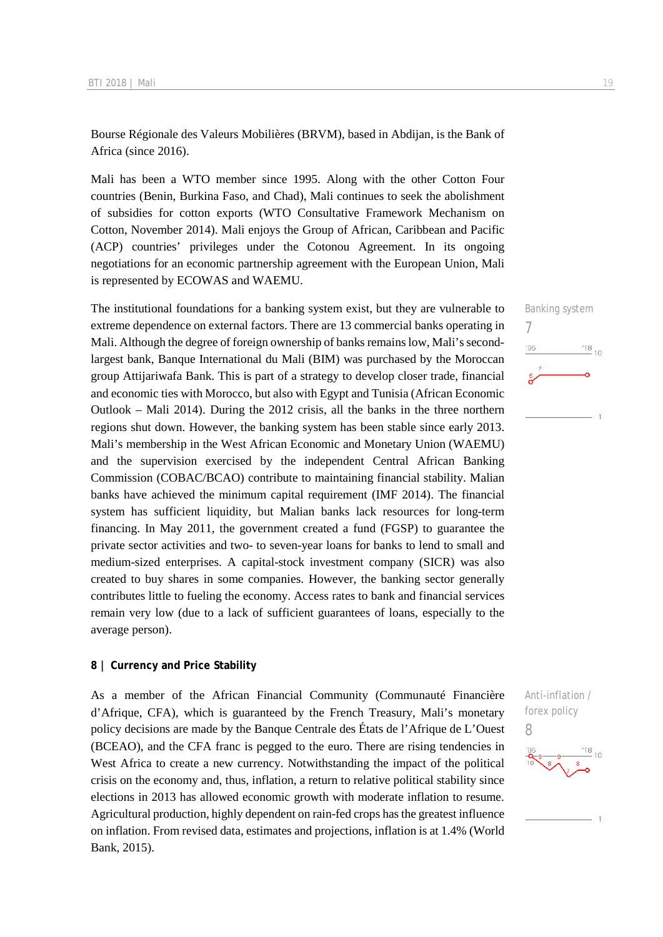Bourse Régionale des Valeurs Mobilières (BRVM), based in Abdijan, is the Bank of Africa (since 2016).

Mali has been a WTO member since 1995. Along with the other Cotton Four countries (Benin, Burkina Faso, and Chad), Mali continues to seek the abolishment of subsidies for cotton exports (WTO Consultative Framework Mechanism on Cotton, November 2014). Mali enjoys the Group of African, Caribbean and Pacific (ACP) countries' privileges under the Cotonou Agreement. In its ongoing negotiations for an economic partnership agreement with the European Union, Mali is represented by ECOWAS and WAEMU.

The institutional foundations for a banking system exist, but they are vulnerable to extreme dependence on external factors. There are 13 commercial banks operating in Mali. Although the degree of foreign ownership of banks remains low, Mali's secondlargest bank, Banque International du Mali (BIM) was purchased by the Moroccan group Attijariwafa Bank. This is part of a strategy to develop closer trade, financial and economic ties with Morocco, but also with Egypt and Tunisia (African Economic Outlook – Mali 2014). During the 2012 crisis, all the banks in the three northern regions shut down. However, the banking system has been stable since early 2013. Mali's membership in the West African Economic and Monetary Union (WAEMU) and the supervision exercised by the independent Central African Banking Commission (COBAC/BCAO) contribute to maintaining financial stability. Malian banks have achieved the minimum capital requirement (IMF 2014). The financial system has sufficient liquidity, but Malian banks lack resources for long-term financing. In May 2011, the government created a fund (FGSP) to guarantee the private sector activities and two- to seven-year loans for banks to lend to small and medium-sized enterprises. A capital-stock investment company (SICR) was also created to buy shares in some companies. However, the banking sector generally contributes little to fueling the economy. Access rates to bank and financial services remain very low (due to a lack of sufficient guarantees of loans, especially to the average person).

#### **8 | Currency and Price Stability**

As a member of the African Financial Community (Communauté Financière d'Afrique, CFA), which is guaranteed by the French Treasury, Mali's monetary policy decisions are made by the Banque Centrale des États de l'Afrique de L'Ouest (BCEAO), and the CFA franc is pegged to the euro. There are rising tendencies in West Africa to create a new currency. Notwithstanding the impact of the political crisis on the economy and, thus, inflation, a return to relative political stability since elections in 2013 has allowed economic growth with moderate inflation to resume. Agricultural production, highly dependent on rain-fed crops has the greatest influence on inflation. From revised data, estimates and projections, inflation is at 1.4% (World Bank, 2015).



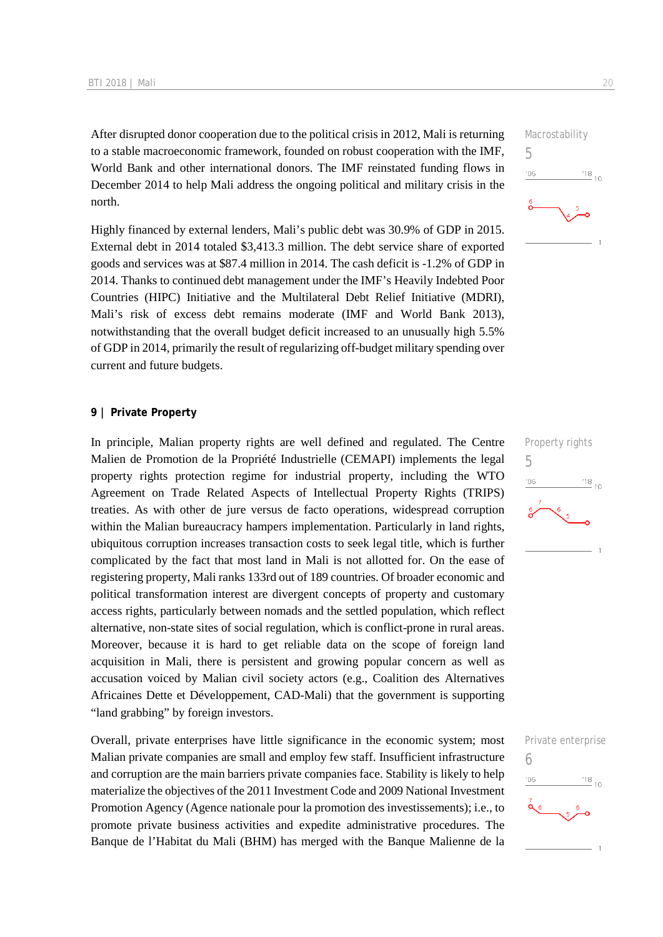After disrupted donor cooperation due to the political crisis in 2012, Mali is returning to a stable macroeconomic framework, founded on robust cooperation with the IMF, World Bank and other international donors. The IMF reinstated funding flows in December 2014 to help Mali address the ongoing political and military crisis in the north.

Highly financed by external lenders, Mali's public debt was 30.9% of GDP in 2015. External debt in 2014 totaled \$3,413.3 million. The debt service share of exported goods and services was at \$87.4 million in 2014. The cash deficit is -1.2% of GDP in 2014. Thanks to continued debt management under the IMF's Heavily Indebted Poor Countries (HIPC) Initiative and the Multilateral Debt Relief Initiative (MDRI), Mali's risk of excess debt remains moderate (IMF and World Bank 2013), notwithstanding that the overall budget deficit increased to an unusually high 5.5% of GDP in 2014, primarily the result of regularizing off-budget military spending over current and future budgets.

#### **9 | Private Property**

In principle, Malian property rights are well defined and regulated. The Centre Malien de Promotion de la Propriété Industrielle (CEMAPI) implements the legal property rights protection regime for industrial property, including the WTO Agreement on Trade Related Aspects of Intellectual Property Rights (TRIPS) treaties. As with other de jure versus de facto operations, widespread corruption within the Malian bureaucracy hampers implementation. Particularly in land rights, ubiquitous corruption increases transaction costs to seek legal title, which is further complicated by the fact that most land in Mali is not allotted for. On the ease of registering property, Mali ranks 133rd out of 189 countries. Of broader economic and political transformation interest are divergent concepts of property and customary access rights, particularly between nomads and the settled population, which reflect alternative, non-state sites of social regulation, which is conflict-prone in rural areas. Moreover, because it is hard to get reliable data on the scope of foreign land acquisition in Mali, there is persistent and growing popular concern as well as accusation voiced by Malian civil society actors (e.g., Coalition des Alternatives Africaines Dette et Développement, CAD-Mali) that the government is supporting "land grabbing" by foreign investors.

Overall, private enterprises have little significance in the economic system; most Malian private companies are small and employ few staff. Insufficient infrastructure and corruption are the main barriers private companies face. Stability is likely to help materialize the objectives of the 2011 Investment Code and 2009 National Investment Promotion Agency (Agence nationale pour la promotion des investissements); i.e., to promote private business activities and expedite administrative procedures. The Banque de l'Habitat du Mali (BHM) has merged with the Banque Malienne de la





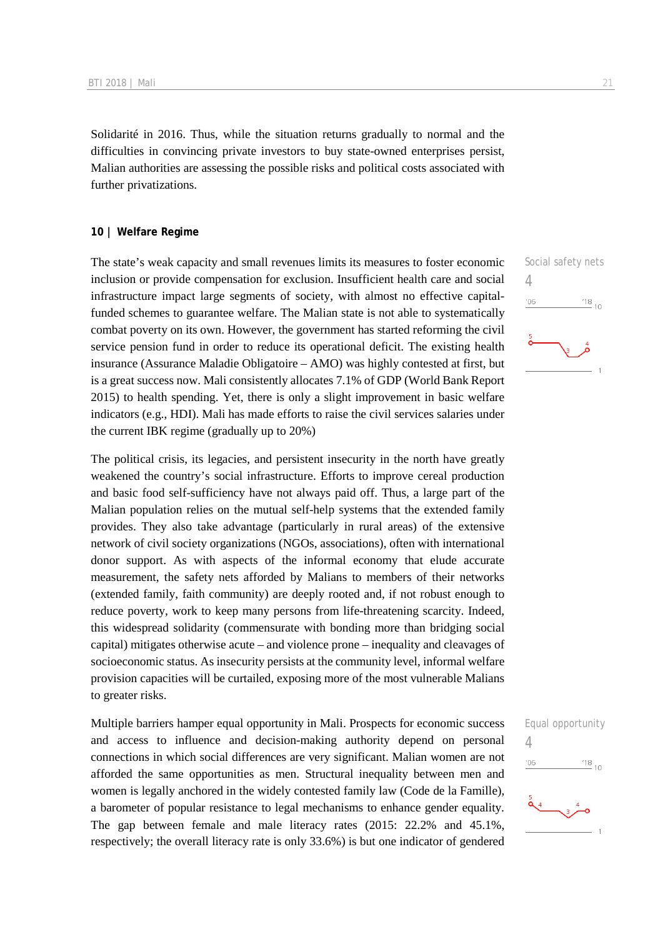Solidarité in 2016. Thus, while the situation returns gradually to normal and the difficulties in convincing private investors to buy state-owned enterprises persist, Malian authorities are assessing the possible risks and political costs associated with further privatizations.

#### **10 | Welfare Regime**

The state's weak capacity and small revenues limits its measures to foster economic inclusion or provide compensation for exclusion. Insufficient health care and social infrastructure impact large segments of society, with almost no effective capitalfunded schemes to guarantee welfare. The Malian state is not able to systematically combat poverty on its own. However, the government has started reforming the civil service pension fund in order to reduce its operational deficit. The existing health insurance (Assurance Maladie Obligatoire – AMO) was highly contested at first, but is a great success now. Mali consistently allocates 7.1% of GDP (World Bank Report 2015) to health spending. Yet, there is only a slight improvement in basic welfare indicators (e.g., HDI). Mali has made efforts to raise the civil services salaries under the current IBK regime (gradually up to 20%)

The political crisis, its legacies, and persistent insecurity in the north have greatly weakened the country's social infrastructure. Efforts to improve cereal production and basic food self-sufficiency have not always paid off. Thus, a large part of the Malian population relies on the mutual self-help systems that the extended family provides. They also take advantage (particularly in rural areas) of the extensive network of civil society organizations (NGOs, associations), often with international donor support. As with aspects of the informal economy that elude accurate measurement, the safety nets afforded by Malians to members of their networks (extended family, faith community) are deeply rooted and, if not robust enough to reduce poverty, work to keep many persons from life-threatening scarcity. Indeed, this widespread solidarity (commensurate with bonding more than bridging social capital) mitigates otherwise acute – and violence prone – inequality and cleavages of socioeconomic status. As insecurity persists at the community level, informal welfare provision capacities will be curtailed, exposing more of the most vulnerable Malians to greater risks.

Multiple barriers hamper equal opportunity in Mali. Prospects for economic success and access to influence and decision-making authority depend on personal connections in which social differences are very significant. Malian women are not afforded the same opportunities as men. Structural inequality between men and women is legally anchored in the widely contested family law (Code de la Famille), a barometer of popular resistance to legal mechanisms to enhance gender equality. The gap between female and male literacy rates (2015: 22.2% and 45.1%, respectively; the overall literacy rate is only 33.6%) is but one indicator of gendered



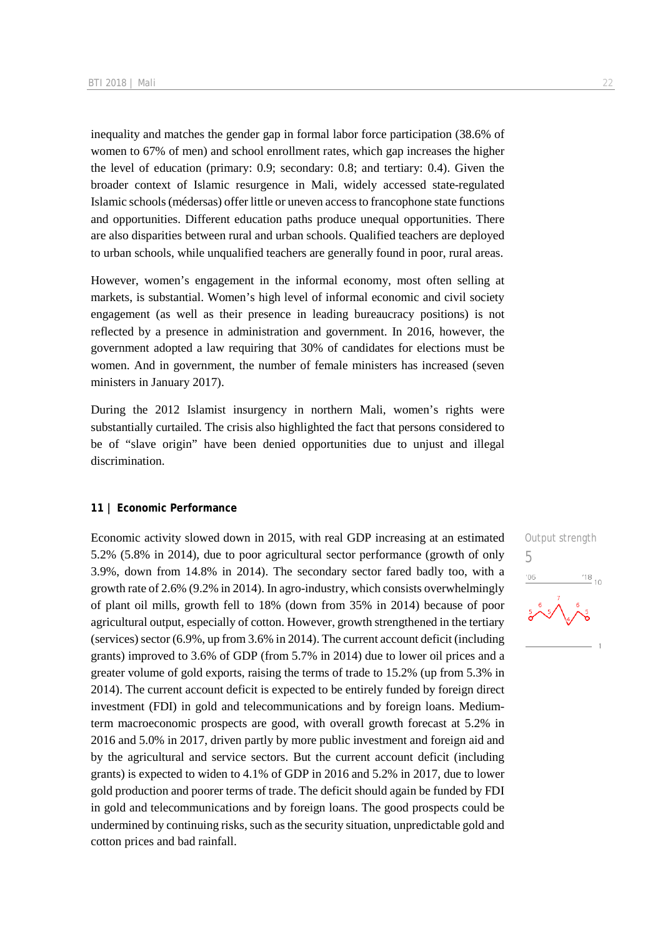inequality and matches the gender gap in formal labor force participation (38.6% of women to 67% of men) and school enrollment rates, which gap increases the higher the level of education (primary: 0.9; secondary: 0.8; and tertiary: 0.4). Given the broader context of Islamic resurgence in Mali, widely accessed state-regulated Islamic schools (médersas) offer little or uneven access to francophone state functions and opportunities. Different education paths produce unequal opportunities. There are also disparities between rural and urban schools. Qualified teachers are deployed to urban schools, while unqualified teachers are generally found in poor, rural areas.

However, women's engagement in the informal economy, most often selling at markets, is substantial. Women's high level of informal economic and civil society engagement (as well as their presence in leading bureaucracy positions) is not reflected by a presence in administration and government. In 2016, however, the government adopted a law requiring that 30% of candidates for elections must be women. And in government, the number of female ministers has increased (seven ministers in January 2017).

During the 2012 Islamist insurgency in northern Mali, women's rights were substantially curtailed. The crisis also highlighted the fact that persons considered to be of "slave origin" have been denied opportunities due to unjust and illegal discrimination.

#### **11 | Economic Performance**

Economic activity slowed down in 2015, with real GDP increasing at an estimated 5.2% (5.8% in 2014), due to poor agricultural sector performance (growth of only 3.9%, down from 14.8% in 2014). The secondary sector fared badly too, with a growth rate of 2.6% (9.2% in 2014). In agro-industry, which consists overwhelmingly of plant oil mills, growth fell to 18% (down from 35% in 2014) because of poor agricultural output, especially of cotton. However, growth strengthened in the tertiary (services) sector (6.9%, up from 3.6% in 2014). The current account deficit (including grants) improved to 3.6% of GDP (from 5.7% in 2014) due to lower oil prices and a greater volume of gold exports, raising the terms of trade to 15.2% (up from 5.3% in 2014). The current account deficit is expected to be entirely funded by foreign direct investment (FDI) in gold and telecommunications and by foreign loans. Mediumterm macroeconomic prospects are good, with overall growth forecast at 5.2% in 2016 and 5.0% in 2017, driven partly by more public investment and foreign aid and by the agricultural and service sectors. But the current account deficit (including grants) is expected to widen to 4.1% of GDP in 2016 and 5.2% in 2017, due to lower gold production and poorer terms of trade. The deficit should again be funded by FDI in gold and telecommunications and by foreign loans. The good prospects could be undermined by continuing risks, such as the security situation, unpredictable gold and cotton prices and bad rainfall.

Output strength 5 $\frac{18}{10}$  10  $106$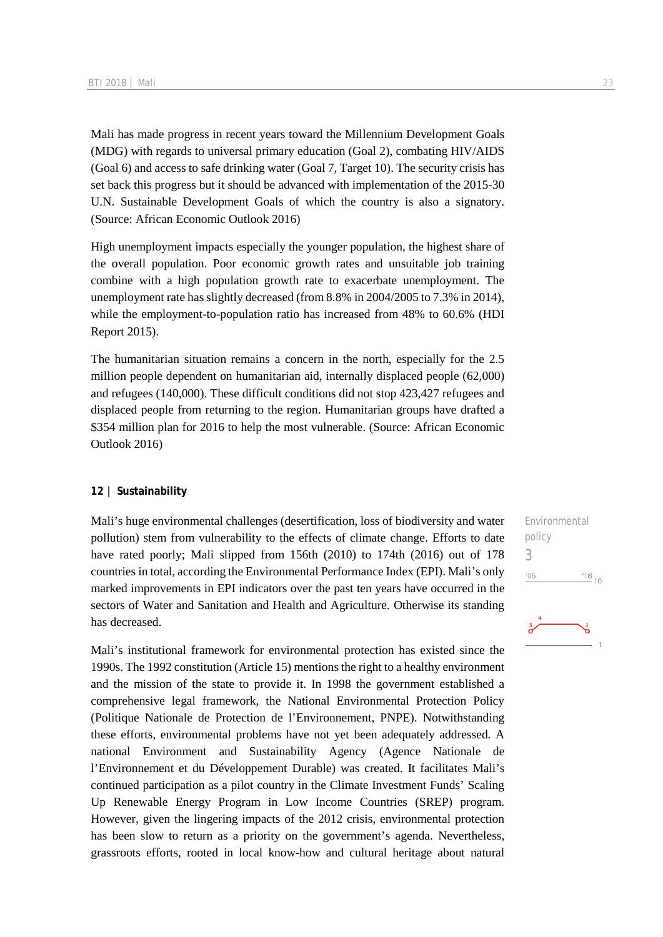Mali has made progress in recent years toward the Millennium Development Goals (MDG) with regards to universal primary education (Goal 2), combating HIV/AIDS (Goal 6) and access to safe drinking water (Goal 7, Target 10). The security crisis has set back this progress but it should be advanced with implementation of the 2015-30 U.N. Sustainable Development Goals of which the country is also a signatory. (Source: African Economic Outlook 2016)

High unemployment impacts especially the younger population, the highest share of the overall population. Poor economic growth rates and unsuitable job training combine with a high population growth rate to exacerbate unemployment. The unemployment rate has slightly decreased (from 8.8% in 2004/2005 to 7.3% in 2014), while the employment-to-population ratio has increased from 48% to 60.6% (HDI Report 2015).

The humanitarian situation remains a concern in the north, especially for the 2.5 million people dependent on humanitarian aid, internally displaced people (62,000) and refugees (140,000). These difficult conditions did not stop 423,427 refugees and displaced people from returning to the region. Humanitarian groups have drafted a \$354 million plan for 2016 to help the most vulnerable. (Source: African Economic Outlook 2016)

#### **12 | Sustainability**

Mali's huge environmental challenges (desertification, loss of biodiversity and water pollution) stem from vulnerability to the effects of climate change. Efforts to date have rated poorly; Mali slipped from 156th (2010) to 174th (2016) out of 178 countries in total, according the Environmental Performance Index (EPI). Mali's only marked improvements in EPI indicators over the past ten years have occurred in the sectors of Water and Sanitation and Health and Agriculture. Otherwise its standing has decreased.

Mali's institutional framework for environmental protection has existed since the 1990s. The 1992 constitution (Article 15) mentions the right to a healthy environment and the mission of the state to provide it. In 1998 the government established a comprehensive legal framework, the National Environmental Protection Policy (Politique Nationale de Protection de l'Environnement, PNPE). Notwithstanding these efforts, environmental problems have not yet been adequately addressed. A national Environment and Sustainability Agency (Agence Nationale de l'Environnement et du Développement Durable) was created. It facilitates Mali's continued participation as a pilot country in the Climate Investment Funds' Scaling Up Renewable Energy Program in Low Income Countries (SREP) program. However, given the lingering impacts of the 2012 crisis, environmental protection has been slow to return as a priority on the government's agenda. Nevertheless, grassroots efforts, rooted in local know-how and cultural heritage about natural

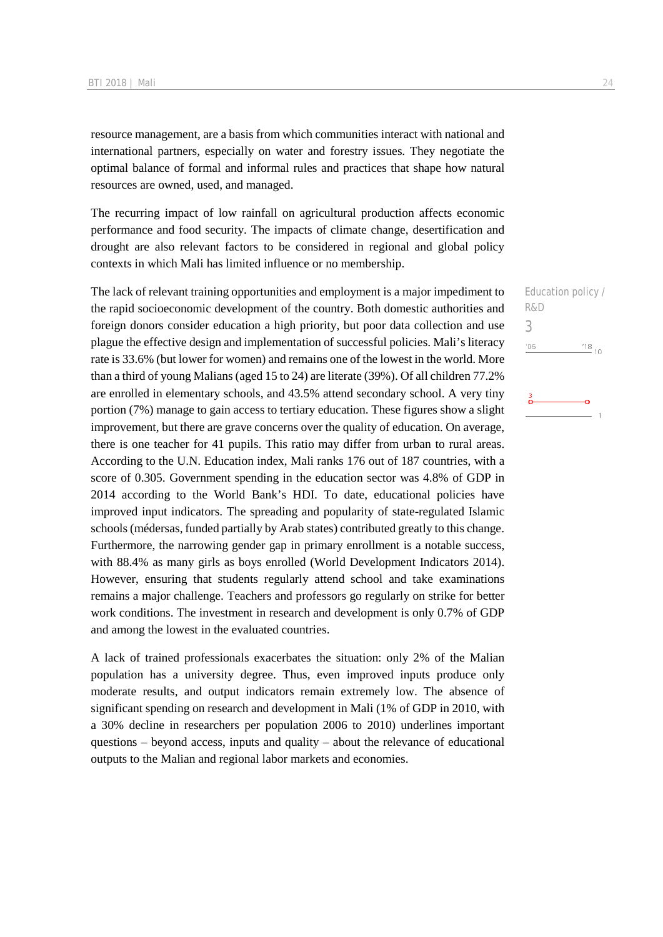resource management, are a basis from which communities interact with national and international partners, especially on water and forestry issues. They negotiate the optimal balance of formal and informal rules and practices that shape how natural resources are owned, used, and managed.

The recurring impact of low rainfall on agricultural production affects economic performance and food security. The impacts of climate change, desertification and drought are also relevant factors to be considered in regional and global policy contexts in which Mali has limited influence or no membership.

The lack of relevant training opportunities and employment is a major impediment to the rapid socioeconomic development of the country. Both domestic authorities and foreign donors consider education a high priority, but poor data collection and use plague the effective design and implementation of successful policies. Mali's literacy rate is 33.6% (but lower for women) and remains one of the lowest in the world. More than a third of young Malians (aged 15 to 24) are literate (39%). Of all children 77.2% are enrolled in elementary schools, and 43.5% attend secondary school. A very tiny portion (7%) manage to gain access to tertiary education. These figures show a slight improvement, but there are grave concerns over the quality of education. On average, there is one teacher for 41 pupils. This ratio may differ from urban to rural areas. According to the U.N. Education index, Mali ranks 176 out of 187 countries, with a score of 0.305. Government spending in the education sector was 4.8% of GDP in 2014 according to the World Bank's HDI. To date, educational policies have improved input indicators. The spreading and popularity of state-regulated Islamic schools (médersas, funded partially by Arab states) contributed greatly to this change. Furthermore, the narrowing gender gap in primary enrollment is a notable success, with 88.4% as many girls as boys enrolled (World Development Indicators 2014). However, ensuring that students regularly attend school and take examinations remains a major challenge. Teachers and professors go regularly on strike for better work conditions. The investment in research and development is only 0.7% of GDP and among the lowest in the evaluated countries.

A lack of trained professionals exacerbates the situation: only 2% of the Malian population has a university degree. Thus, even improved inputs produce only moderate results, and output indicators remain extremely low. The absence of significant spending on research and development in Mali (1% of GDP in 2010, with a 30% decline in researchers per population 2006 to 2010) underlines important questions – beyond access, inputs and quality – about the relevance of educational outputs to the Malian and regional labor markets and economies.

Education policy / R&D 3 $06'$  $\frac{18}{10}$  10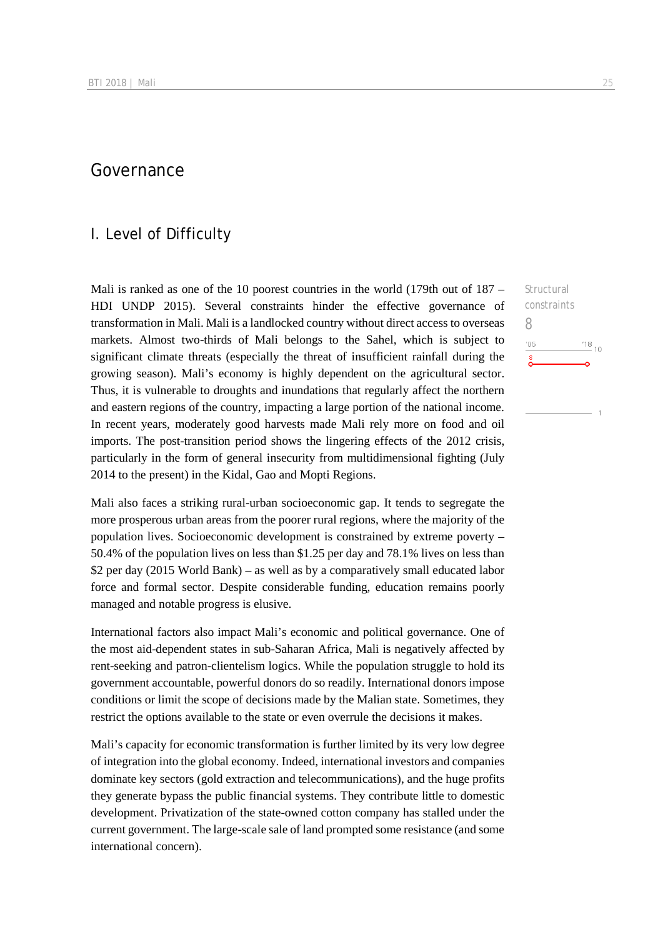## Governance

### I. Level of Difficulty

Mali is ranked as one of the 10 poorest countries in the world  $(179th)$  out of  $187 –$ HDI UNDP 2015). Several constraints hinder the effective governance of transformation in Mali. Mali is a landlocked country without direct access to overseas markets. Almost two-thirds of Mali belongs to the Sahel, which is subject to significant climate threats (especially the threat of insufficient rainfall during the growing season). Mali's economy is highly dependent on the agricultural sector. Thus, it is vulnerable to droughts and inundations that regularly affect the northern and eastern regions of the country, impacting a large portion of the national income. In recent years, moderately good harvests made Mali rely more on food and oil imports. The post-transition period shows the lingering effects of the 2012 crisis, particularly in the form of general insecurity from multidimensional fighting (July 2014 to the present) in the Kidal, Gao and Mopti Regions.

Mali also faces a striking rural-urban socioeconomic gap. It tends to segregate the more prosperous urban areas from the poorer rural regions, where the majority of the population lives. Socioeconomic development is constrained by extreme poverty – 50.4% of the population lives on less than \$1.25 per day and 78.1% lives on less than \$2 per day (2015 World Bank) – as well as by a comparatively small educated labor force and formal sector. Despite considerable funding, education remains poorly managed and notable progress is elusive.

International factors also impact Mali's economic and political governance. One of the most aid-dependent states in sub-Saharan Africa, Mali is negatively affected by rent-seeking and patron-clientelism logics. While the population struggle to hold its government accountable, powerful donors do so readily. International donors impose conditions or limit the scope of decisions made by the Malian state. Sometimes, they restrict the options available to the state or even overrule the decisions it makes.

Mali's capacity for economic transformation is further limited by its very low degree of integration into the global economy. Indeed, international investors and companies dominate key sectors (gold extraction and telecommunications), and the huge profits they generate bypass the public financial systems. They contribute little to domestic development. Privatization of the state-owned cotton company has stalled under the current government. The large-scale sale of land prompted some resistance (and some international concern).

Structural constraints 8 $^{18}_{-10}$  $^{\prime}06$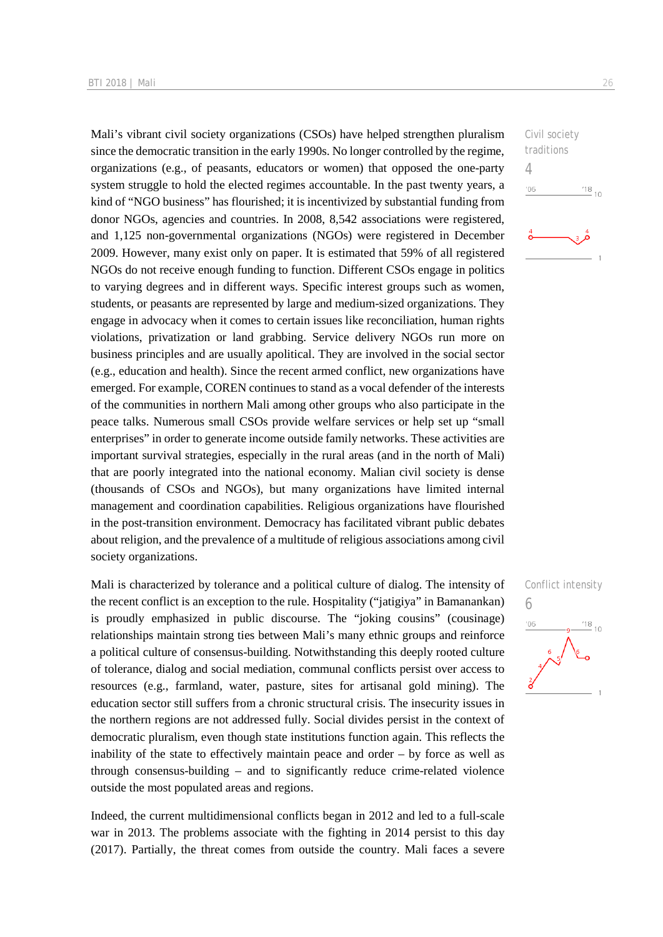Mali's vibrant civil society organizations (CSOs) have helped strengthen pluralism since the democratic transition in the early 1990s. No longer controlled by the regime, organizations (e.g., of peasants, educators or women) that opposed the one-party system struggle to hold the elected regimes accountable. In the past twenty years, a kind of "NGO business" has flourished; it is incentivized by substantial funding from donor NGOs, agencies and countries. In 2008, 8,542 associations were registered, and 1,125 non-governmental organizations (NGOs) were registered in December 2009. However, many exist only on paper. It is estimated that 59% of all registered NGOs do not receive enough funding to function. Different CSOs engage in politics to varying degrees and in different ways. Specific interest groups such as women, students, or peasants are represented by large and medium-sized organizations. They engage in advocacy when it comes to certain issues like reconciliation, human rights violations, privatization or land grabbing. Service delivery NGOs run more on business principles and are usually apolitical. They are involved in the social sector (e.g., education and health). Since the recent armed conflict, new organizations have emerged. For example, COREN continues to stand as a vocal defender of the interests of the communities in northern Mali among other groups who also participate in the peace talks. Numerous small CSOs provide welfare services or help set up "small enterprises" in order to generate income outside family networks. These activities are important survival strategies, especially in the rural areas (and in the north of Mali) that are poorly integrated into the national economy. Malian civil society is dense (thousands of CSOs and NGOs), but many organizations have limited internal management and coordination capabilities. Religious organizations have flourished in the post-transition environment. Democracy has facilitated vibrant public debates about religion, and the prevalence of a multitude of religious associations among civil society organizations.

Mali is characterized by tolerance and a political culture of dialog. The intensity of the recent conflict is an exception to the rule. Hospitality ("jatigiya" in Bamanankan) is proudly emphasized in public discourse. The "joking cousins" (cousinage) relationships maintain strong ties between Mali's many ethnic groups and reinforce a political culture of consensus-building. Notwithstanding this deeply rooted culture of tolerance, dialog and social mediation, communal conflicts persist over access to resources (e.g., farmland, water, pasture, sites for artisanal gold mining). The education sector still suffers from a chronic structural crisis. The insecurity issues in the northern regions are not addressed fully. Social divides persist in the context of democratic pluralism, even though state institutions function again. This reflects the inability of the state to effectively maintain peace and order – by force as well as through consensus-building – and to significantly reduce crime-related violence outside the most populated areas and regions.

Indeed, the current multidimensional conflicts began in 2012 and led to a full-scale war in 2013. The problems associate with the fighting in 2014 persist to this day (2017). Partially, the threat comes from outside the country. Mali faces a severe



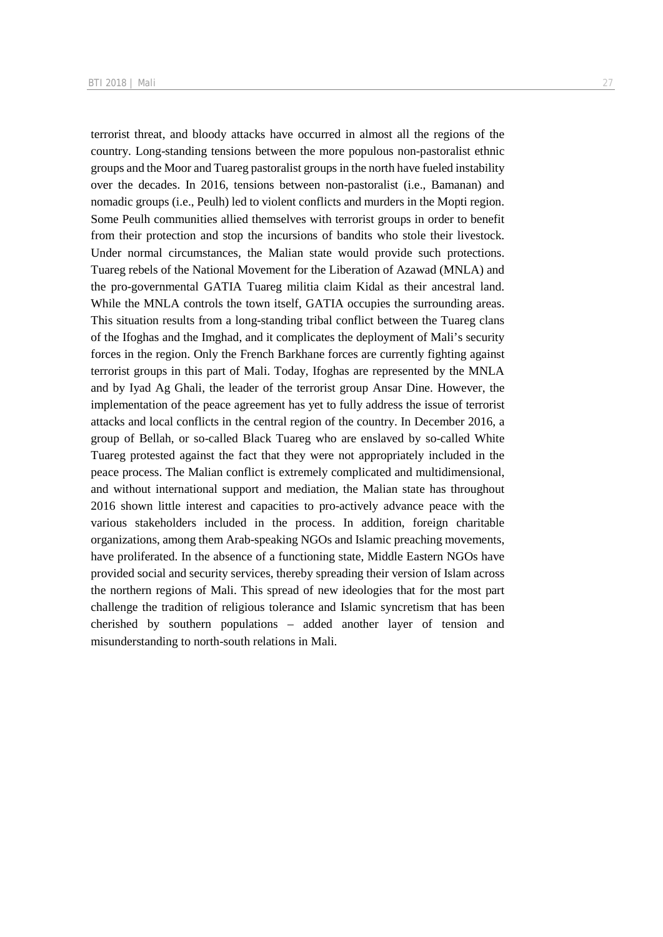terrorist threat, and bloody attacks have occurred in almost all the regions of the country. Long-standing tensions between the more populous non-pastoralist ethnic groups and the Moor and Tuareg pastoralist groups in the north have fueled instability

over the decades. In 2016, tensions between non-pastoralist (i.e., Bamanan) and nomadic groups (i.e., Peulh) led to violent conflicts and murders in the Mopti region. Some Peulh communities allied themselves with terrorist groups in order to benefit from their protection and stop the incursions of bandits who stole their livestock. Under normal circumstances, the Malian state would provide such protections. Tuareg rebels of the National Movement for the Liberation of Azawad (MNLA) and the pro-governmental GATIA Tuareg militia claim Kidal as their ancestral land. While the MNLA controls the town itself, GATIA occupies the surrounding areas. This situation results from a long-standing tribal conflict between the Tuareg clans of the Ifoghas and the Imghad, and it complicates the deployment of Mali's security forces in the region. Only the French Barkhane forces are currently fighting against terrorist groups in this part of Mali. Today, Ifoghas are represented by the MNLA and by Iyad Ag Ghali, the leader of the terrorist group Ansar Dine. However, the implementation of the peace agreement has yet to fully address the issue of terrorist attacks and local conflicts in the central region of the country. In December 2016, a group of Bellah, or so-called Black Tuareg who are enslaved by so-called White Tuareg protested against the fact that they were not appropriately included in the peace process. The Malian conflict is extremely complicated and multidimensional, and without international support and mediation, the Malian state has throughout 2016 shown little interest and capacities to pro-actively advance peace with the various stakeholders included in the process. In addition, foreign charitable organizations, among them Arab-speaking NGOs and Islamic preaching movements, have proliferated. In the absence of a functioning state, Middle Eastern NGOs have provided social and security services, thereby spreading their version of Islam across the northern regions of Mali. This spread of new ideologies that for the most part challenge the tradition of religious tolerance and Islamic syncretism that has been cherished by southern populations – added another layer of tension and misunderstanding to north-south relations in Mali.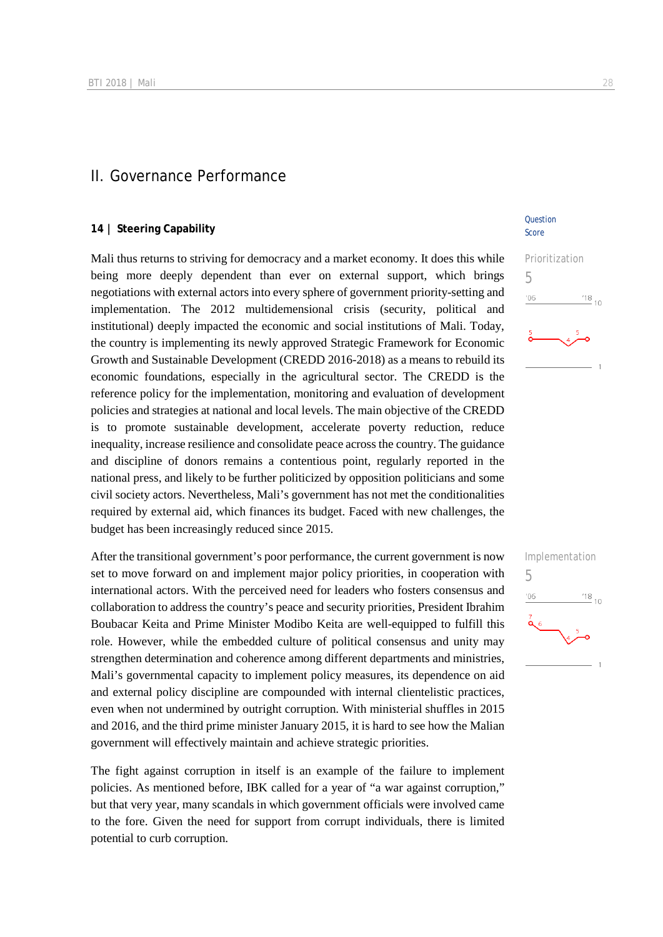#### II. Governance Performance

#### **14 | Steering Capability**

Mali thus returns to striving for democracy and a market economy. It does this while being more deeply dependent than ever on external support, which brings negotiations with external actors into every sphere of government priority-setting and implementation. The 2012 multidemensional crisis (security, political and institutional) deeply impacted the economic and social institutions of Mali. Today, the country is implementing its newly approved Strategic Framework for Economic Growth and Sustainable Development (CREDD 2016-2018) as a means to rebuild its economic foundations, especially in the agricultural sector. The CREDD is the reference policy for the implementation, monitoring and evaluation of development policies and strategies at national and local levels. The main objective of the CREDD is to promote sustainable development, accelerate poverty reduction, reduce inequality, increase resilience and consolidate peace across the country. The guidance and discipline of donors remains a contentious point, regularly reported in the national press, and likely to be further politicized by opposition politicians and some civil society actors. Nevertheless, Mali's government has not met the conditionalities required by external aid, which finances its budget. Faced with new challenges, the budget has been increasingly reduced since 2015.

After the transitional government's poor performance, the current government is now set to move forward on and implement major policy priorities, in cooperation with international actors. With the perceived need for leaders who fosters consensus and collaboration to address the country's peace and security priorities, President Ibrahim Boubacar Keita and Prime Minister Modibo Keita are well-equipped to fulfill this role. However, while the embedded culture of political consensus and unity may strengthen determination and coherence among different departments and ministries, Mali's governmental capacity to implement policy measures, its dependence on aid and external policy discipline are compounded with internal clientelistic practices, even when not undermined by outright corruption. With ministerial shuffles in 2015 and 2016, and the third prime minister January 2015, it is hard to see how the Malian government will effectively maintain and achieve strategic priorities.

The fight against corruption in itself is an example of the failure to implement policies. As mentioned before, IBK called for a year of "a war against corruption," but that very year, many scandals in which government officials were involved came to the fore. Given the need for support from corrupt individuals, there is limited potential to curb corruption.

#### **Question** Score



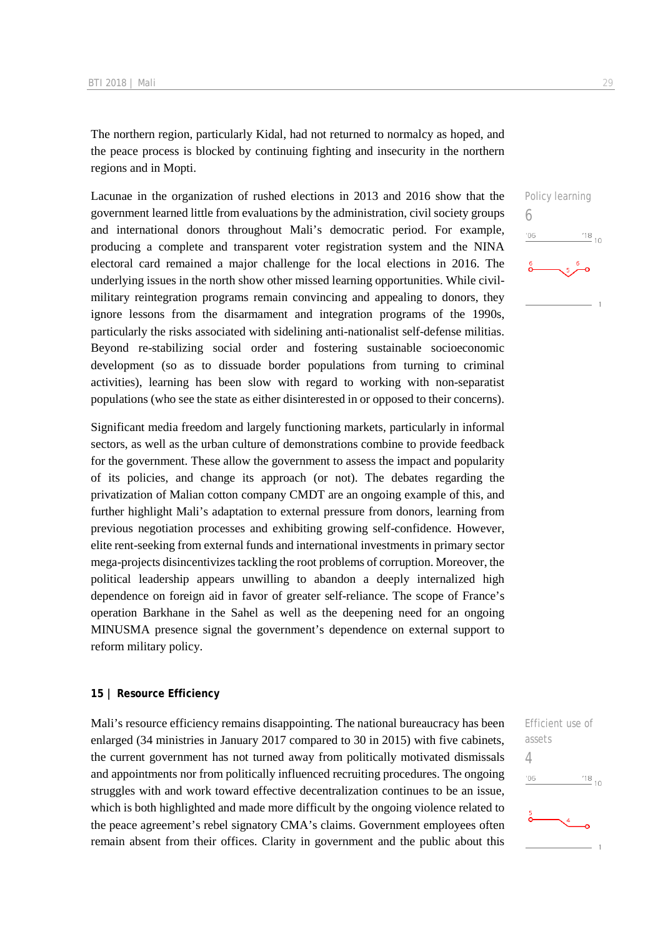The northern region, particularly Kidal, had not returned to normalcy as hoped, and the peace process is blocked by continuing fighting and insecurity in the northern regions and in Mopti.

Lacunae in the organization of rushed elections in 2013 and 2016 show that the government learned little from evaluations by the administration, civil society groups and international donors throughout Mali's democratic period. For example, producing a complete and transparent voter registration system and the NINA electoral card remained a major challenge for the local elections in 2016. The underlying issues in the north show other missed learning opportunities. While civilmilitary reintegration programs remain convincing and appealing to donors, they ignore lessons from the disarmament and integration programs of the 1990s, particularly the risks associated with sidelining anti-nationalist self-defense militias. Beyond re-stabilizing social order and fostering sustainable socioeconomic development (so as to dissuade border populations from turning to criminal activities), learning has been slow with regard to working with non-separatist populations (who see the state as either disinterested in or opposed to their concerns).

Significant media freedom and largely functioning markets, particularly in informal sectors, as well as the urban culture of demonstrations combine to provide feedback for the government. These allow the government to assess the impact and popularity of its policies, and change its approach (or not). The debates regarding the privatization of Malian cotton company CMDT are an ongoing example of this, and further highlight Mali's adaptation to external pressure from donors, learning from previous negotiation processes and exhibiting growing self-confidence. However, elite rent-seeking from external funds and international investments in primary sector mega-projects disincentivizes tackling the root problems of corruption. Moreover, the political leadership appears unwilling to abandon a deeply internalized high dependence on foreign aid in favor of greater self-reliance. The scope of France's operation Barkhane in the Sahel as well as the deepening need for an ongoing MINUSMA presence signal the government's dependence on external support to reform military policy.

#### **15 | Resource Efficiency**

Mali's resource efficiency remains disappointing. The national bureaucracy has been enlarged (34 ministries in January 2017 compared to 30 in 2015) with five cabinets, the current government has not turned away from politically motivated dismissals and appointments nor from politically influenced recruiting procedures. The ongoing struggles with and work toward effective decentralization continues to be an issue, which is both highlighted and made more difficult by the ongoing violence related to the peace agreement's rebel signatory CMA's claims. Government employees often remain absent from their offices. Clarity in government and the public about this

Efficient use of assets 4 $^{18}_{-10}$  $'06$ 

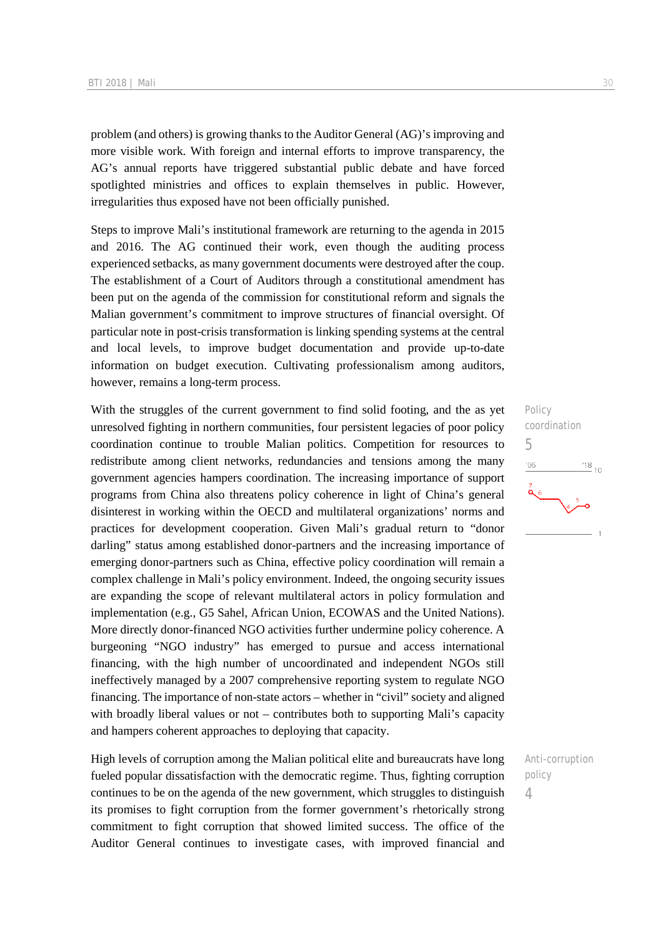problem (and others) is growing thanks to the Auditor General (AG)'s improving and more visible work. With foreign and internal efforts to improve transparency, the AG's annual reports have triggered substantial public debate and have forced spotlighted ministries and offices to explain themselves in public. However, irregularities thus exposed have not been officially punished.

Steps to improve Mali's institutional framework are returning to the agenda in 2015 and 2016. The AG continued their work, even though the auditing process experienced setbacks, as many government documents were destroyed after the coup. The establishment of a Court of Auditors through a constitutional amendment has been put on the agenda of the commission for constitutional reform and signals the Malian government's commitment to improve structures of financial oversight. Of particular note in post-crisis transformation is linking spending systems at the central and local levels, to improve budget documentation and provide up-to-date information on budget execution. Cultivating professionalism among auditors, however, remains a long-term process.

With the struggles of the current government to find solid footing, and the as yet unresolved fighting in northern communities, four persistent legacies of poor policy coordination continue to trouble Malian politics. Competition for resources to redistribute among client networks, redundancies and tensions among the many government agencies hampers coordination. The increasing importance of support programs from China also threatens policy coherence in light of China's general disinterest in working within the OECD and multilateral organizations' norms and practices for development cooperation. Given Mali's gradual return to "donor darling" status among established donor-partners and the increasing importance of emerging donor-partners such as China, effective policy coordination will remain a complex challenge in Mali's policy environment. Indeed, the ongoing security issues are expanding the scope of relevant multilateral actors in policy formulation and implementation (e.g., G5 Sahel, African Union, ECOWAS and the United Nations). More directly donor-financed NGO activities further undermine policy coherence. A burgeoning "NGO industry" has emerged to pursue and access international financing, with the high number of uncoordinated and independent NGOs still ineffectively managed by a 2007 comprehensive reporting system to regulate NGO financing. The importance of non-state actors – whether in "civil" society and aligned with broadly liberal values or not – contributes both to supporting Mali's capacity and hampers coherent approaches to deploying that capacity.

High levels of corruption among the Malian political elite and bureaucrats have long fueled popular dissatisfaction with the democratic regime. Thus, fighting corruption continues to be on the agenda of the new government, which struggles to distinguish its promises to fight corruption from the former government's rhetorically strong commitment to fight corruption that showed limited success. The office of the Auditor General continues to investigate cases, with improved financial and

Policy coordination 5  $^{18}_{-10}$  $'06$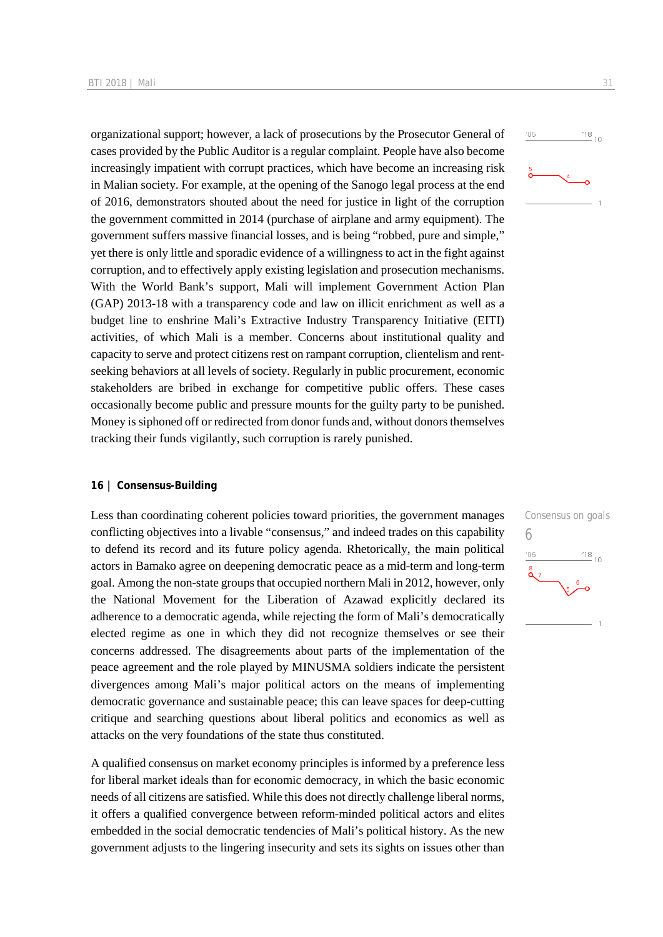organizational support; however, a lack of prosecutions by the Prosecutor General of cases provided by the Public Auditor is a regular complaint. People have also become increasingly impatient with corrupt practices, which have become an increasing risk in Malian society. For example, at the opening of the Sanogo legal process at the end of 2016, demonstrators shouted about the need for justice in light of the corruption the government committed in 2014 (purchase of airplane and army equipment). The government suffers massive financial losses, and is being "robbed, pure and simple," yet there is only little and sporadic evidence of a willingness to act in the fight against corruption, and to effectively apply existing legislation and prosecution mechanisms. With the World Bank's support, Mali will implement Government Action Plan (GAP) 2013-18 with a transparency code and law on illicit enrichment as well as a budget line to enshrine Mali's Extractive Industry Transparency Initiative (EITI) activities, of which Mali is a member. Concerns about institutional quality and capacity to serve and protect citizens rest on rampant corruption, clientelism and rentseeking behaviors at all levels of society. Regularly in public procurement, economic stakeholders are bribed in exchange for competitive public offers. These cases occasionally become public and pressure mounts for the guilty party to be punished. Money is siphoned off or redirected from donor funds and, without donors themselves tracking their funds vigilantly, such corruption is rarely punished.

#### **16 | Consensus-Building**

Less than coordinating coherent policies toward priorities, the government manages conflicting objectives into a livable "consensus," and indeed trades on this capability to defend its record and its future policy agenda. Rhetorically, the main political actors in Bamako agree on deepening democratic peace as a mid-term and long-term goal. Among the non-state groups that occupied northern Mali in 2012, however, only the National Movement for the Liberation of Azawad explicitly declared its adherence to a democratic agenda, while rejecting the form of Mali's democratically elected regime as one in which they did not recognize themselves or see their concerns addressed. The disagreements about parts of the implementation of the peace agreement and the role played by MINUSMA soldiers indicate the persistent divergences among Mali's major political actors on the means of implementing democratic governance and sustainable peace; this can leave spaces for deep-cutting critique and searching questions about liberal politics and economics as well as attacks on the very foundations of the state thus constituted.

A qualified consensus on market economy principles is informed by a preference less for liberal market ideals than for economic democracy, in which the basic economic needs of all citizens are satisfied. While this does not directly challenge liberal norms, it offers a qualified convergence between reform-minded political actors and elites embedded in the social democratic tendencies of Mali's political history. As the new government adjusts to the lingering insecurity and sets its sights on issues other than



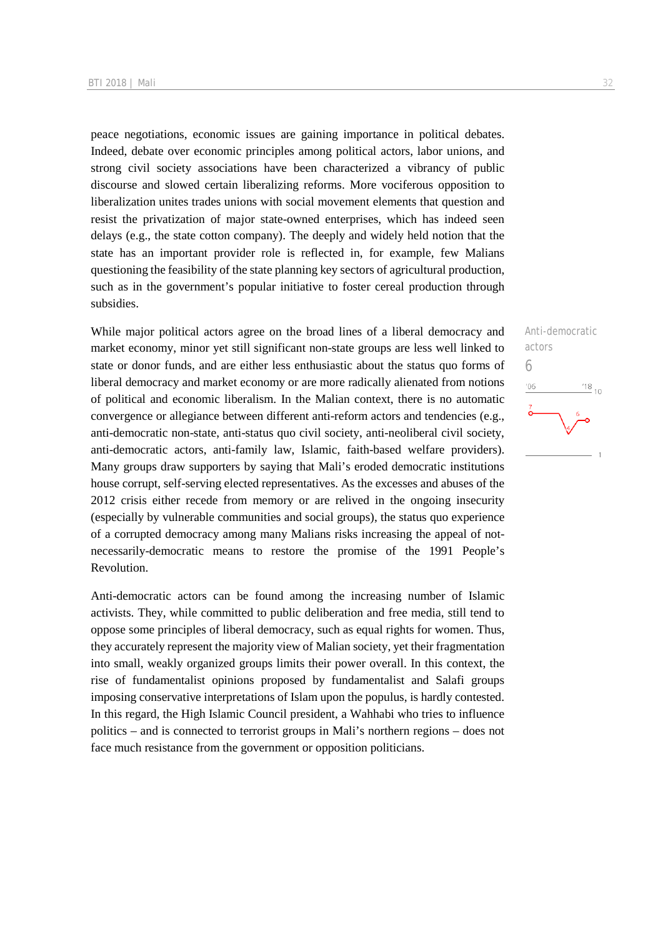peace negotiations, economic issues are gaining importance in political debates. Indeed, debate over economic principles among political actors, labor unions, and strong civil society associations have been characterized a vibrancy of public discourse and slowed certain liberalizing reforms. More vociferous opposition to liberalization unites trades unions with social movement elements that question and resist the privatization of major state-owned enterprises, which has indeed seen delays (e.g., the state cotton company). The deeply and widely held notion that the state has an important provider role is reflected in, for example, few Malians questioning the feasibility of the state planning key sectors of agricultural production, such as in the government's popular initiative to foster cereal production through subsidies.

While major political actors agree on the broad lines of a liberal democracy and market economy, minor yet still significant non-state groups are less well linked to state or donor funds, and are either less enthusiastic about the status quo forms of liberal democracy and market economy or are more radically alienated from notions of political and economic liberalism. In the Malian context, there is no automatic convergence or allegiance between different anti-reform actors and tendencies (e.g., anti-democratic non-state, anti-status quo civil society, anti-neoliberal civil society, anti-democratic actors, anti-family law, Islamic, faith-based welfare providers). Many groups draw supporters by saying that Mali's eroded democratic institutions house corrupt, self-serving elected representatives. As the excesses and abuses of the 2012 crisis either recede from memory or are relived in the ongoing insecurity (especially by vulnerable communities and social groups), the status quo experience of a corrupted democracy among many Malians risks increasing the appeal of notnecessarily-democratic means to restore the promise of the 1991 People's Revolution.

Anti-democratic actors can be found among the increasing number of Islamic activists. They, while committed to public deliberation and free media, still tend to oppose some principles of liberal democracy, such as equal rights for women. Thus, they accurately represent the majority view of Malian society, yet their fragmentation into small, weakly organized groups limits their power overall. In this context, the rise of fundamentalist opinions proposed by fundamentalist and Salafi groups imposing conservative interpretations of Islam upon the populus, is hardly contested. In this regard, the High Islamic Council president, a Wahhabi who tries to influence politics – and is connected to terrorist groups in Mali's northern regions – does not face much resistance from the government or opposition politicians.

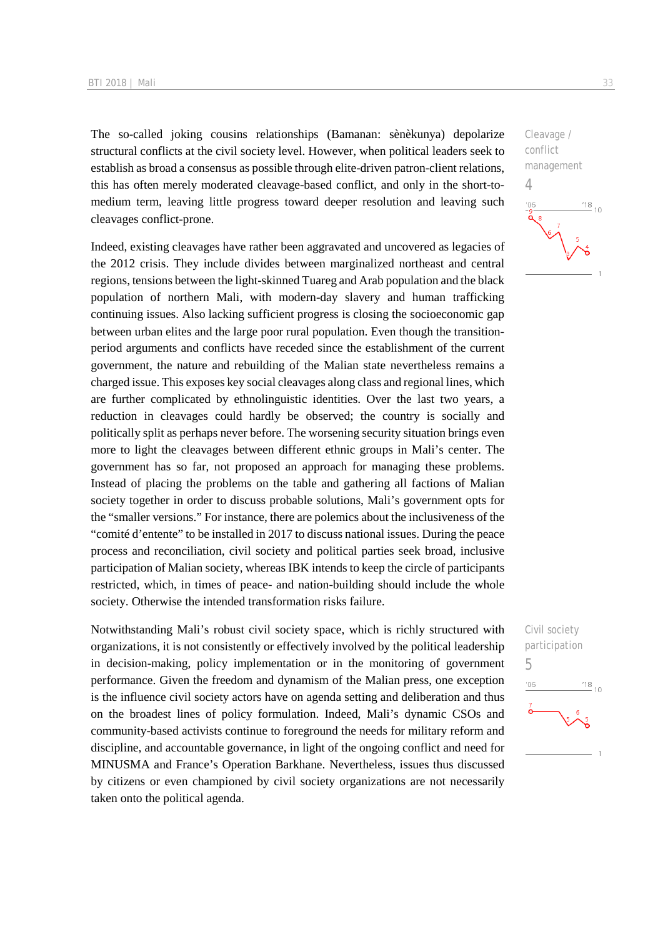The so-called joking cousins relationships (Bamanan: sènèkunya) depolarize structural conflicts at the civil society level. However, when political leaders seek to establish as broad a consensus as possible through elite-driven patron-client relations, this has often merely moderated cleavage-based conflict, and only in the short-tomedium term, leaving little progress toward deeper resolution and leaving such cleavages conflict-prone.

Indeed, existing cleavages have rather been aggravated and uncovered as legacies of the 2012 crisis. They include divides between marginalized northeast and central regions, tensions between the light-skinned Tuareg and Arab population and the black population of northern Mali, with modern-day slavery and human trafficking continuing issues. Also lacking sufficient progress is closing the socioeconomic gap between urban elites and the large poor rural population. Even though the transitionperiod arguments and conflicts have receded since the establishment of the current government, the nature and rebuilding of the Malian state nevertheless remains a charged issue. This exposes key social cleavages along class and regional lines, which are further complicated by ethnolinguistic identities. Over the last two years, a reduction in cleavages could hardly be observed; the country is socially and politically split as perhaps never before. The worsening security situation brings even more to light the cleavages between different ethnic groups in Mali's center. The government has so far, not proposed an approach for managing these problems. Instead of placing the problems on the table and gathering all factions of Malian society together in order to discuss probable solutions, Mali's government opts for the "smaller versions." For instance, there are polemics about the inclusiveness of the "comité d'entente" to be installed in 2017 to discuss national issues. During the peace process and reconciliation, civil society and political parties seek broad, inclusive participation of Malian society, whereas IBK intends to keep the circle of participants restricted, which, in times of peace- and nation-building should include the whole society. Otherwise the intended transformation risks failure.

Notwithstanding Mali's robust civil society space, which is richly structured with organizations, it is not consistently or effectively involved by the political leadership in decision-making, policy implementation or in the monitoring of government performance. Given the freedom and dynamism of the Malian press, one exception is the influence civil society actors have on agenda setting and deliberation and thus on the broadest lines of policy formulation. Indeed, Mali's dynamic CSOs and community-based activists continue to foreground the needs for military reform and discipline, and accountable governance, in light of the ongoing conflict and need for MINUSMA and France's Operation Barkhane. Nevertheless, issues thus discussed by citizens or even championed by civil society organizations are not necessarily taken onto the political agenda.

Cleavage / conflict management 4  $\frac{18}{10}$  10  $106$ 

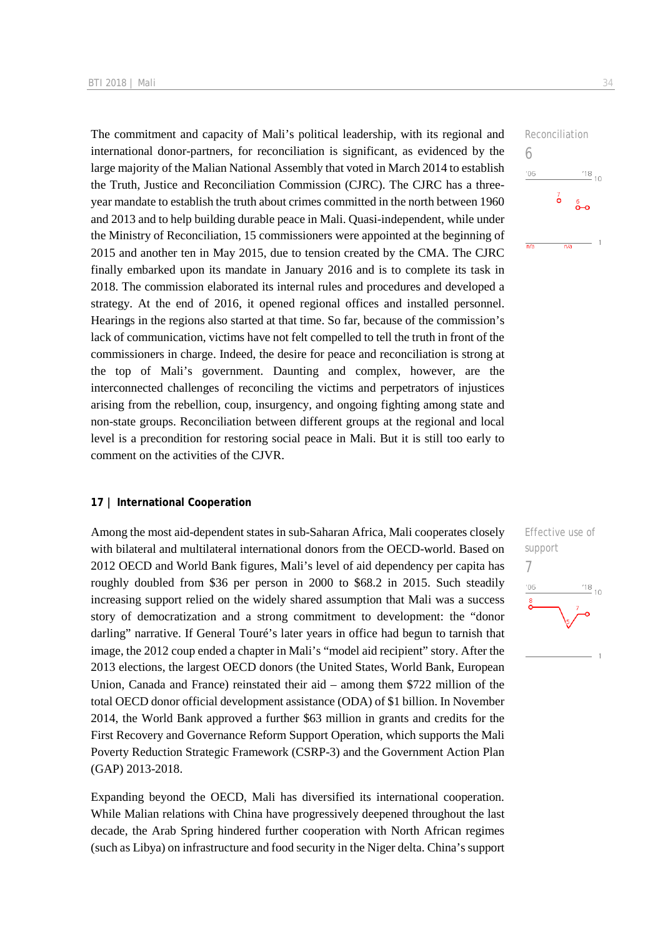The commitment and capacity of Mali's political leadership, with its regional and international donor-partners, for reconciliation is significant, as evidenced by the large majority of the Malian National Assembly that voted in March 2014 to establish the Truth, Justice and Reconciliation Commission (CJRC). The CJRC has a threeyear mandate to establish the truth about crimes committed in the north between 1960 and 2013 and to help building durable peace in Mali. Quasi-independent, while under the Ministry of Reconciliation, 15 commissioners were appointed at the beginning of 2015 and another ten in May 2015, due to tension created by the CMA. The CJRC finally embarked upon its mandate in January 2016 and is to complete its task in 2018. The commission elaborated its internal rules and procedures and developed a strategy. At the end of 2016, it opened regional offices and installed personnel. Hearings in the regions also started at that time. So far, because of the commission's lack of communication, victims have not felt compelled to tell the truth in front of the commissioners in charge. Indeed, the desire for peace and reconciliation is strong at the top of Mali's government. Daunting and complex, however, are the interconnected challenges of reconciling the victims and perpetrators of injustices arising from the rebellion, coup, insurgency, and ongoing fighting among state and non-state groups. Reconciliation between different groups at the regional and local level is a precondition for restoring social peace in Mali. But it is still too early to comment on the activities of the CJVR.

#### **17 | International Cooperation**

Among the most aid-dependent states in sub-Saharan Africa, Mali cooperates closely with bilateral and multilateral international donors from the OECD-world. Based on 2012 OECD and World Bank figures, Mali's level of aid dependency per capita has roughly doubled from \$36 per person in 2000 to \$68.2 in 2015. Such steadily increasing support relied on the widely shared assumption that Mali was a success story of democratization and a strong commitment to development: the "donor darling" narrative. If General Touré's later years in office had begun to tarnish that image, the 2012 coup ended a chapter in Mali's "model aid recipient" story. After the 2013 elections, the largest OECD donors (the United States, World Bank, European Union, Canada and France) reinstated their aid – among them \$722 million of the total OECD donor official development assistance (ODA) of \$1 billion. In November 2014, the World Bank approved a further \$63 million in grants and credits for the First Recovery and Governance Reform Support Operation, which supports the Mali Poverty Reduction Strategic Framework (CSRP-3) and the Government Action Plan (GAP) 2013-2018.

Expanding beyond the OECD, Mali has diversified its international cooperation. While Malian relations with China have progressively deepened throughout the last decade, the Arab Spring hindered further cooperation with North African regimes (such as Libya) on infrastructure and food security in the Niger delta. China's support



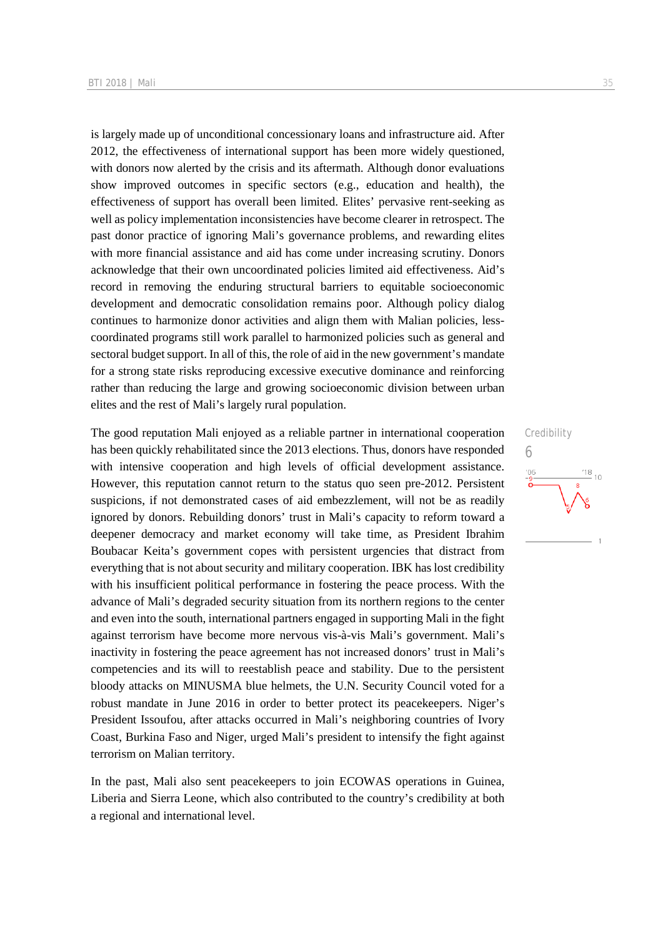is largely made up of unconditional concessionary loans and infrastructure aid. After 2012, the effectiveness of international support has been more widely questioned, with donors now alerted by the crisis and its aftermath. Although donor evaluations show improved outcomes in specific sectors (e.g., education and health), the effectiveness of support has overall been limited. Elites' pervasive rent-seeking as well as policy implementation inconsistencies have become clearer in retrospect. The past donor practice of ignoring Mali's governance problems, and rewarding elites with more financial assistance and aid has come under increasing scrutiny. Donors acknowledge that their own uncoordinated policies limited aid effectiveness. Aid's record in removing the enduring structural barriers to equitable socioeconomic development and democratic consolidation remains poor. Although policy dialog continues to harmonize donor activities and align them with Malian policies, lesscoordinated programs still work parallel to harmonized policies such as general and sectoral budget support. In all of this, the role of aid in the new government's mandate for a strong state risks reproducing excessive executive dominance and reinforcing rather than reducing the large and growing socioeconomic division between urban elites and the rest of Mali's largely rural population.

The good reputation Mali enjoyed as a reliable partner in international cooperation has been quickly rehabilitated since the 2013 elections. Thus, donors have responded with intensive cooperation and high levels of official development assistance. However, this reputation cannot return to the status quo seen pre-2012. Persistent suspicions, if not demonstrated cases of aid embezzlement, will not be as readily ignored by donors. Rebuilding donors' trust in Mali's capacity to reform toward a deepener democracy and market economy will take time, as President Ibrahim Boubacar Keita's government copes with persistent urgencies that distract from everything that is not about security and military cooperation. IBK has lost credibility with his insufficient political performance in fostering the peace process. With the advance of Mali's degraded security situation from its northern regions to the center and even into the south, international partners engaged in supporting Mali in the fight against terrorism have become more nervous vis-à-vis Mali's government. Mali's inactivity in fostering the peace agreement has not increased donors' trust in Mali's competencies and its will to reestablish peace and stability. Due to the persistent bloody attacks on MINUSMA blue helmets, the U.N. Security Council voted for a robust mandate in June 2016 in order to better protect its peacekeepers. Niger's President Issoufou, after attacks occurred in Mali's neighboring countries of Ivory Coast, Burkina Faso and Niger, urged Mali's president to intensify the fight against terrorism on Malian territory.

In the past, Mali also sent peacekeepers to join ECOWAS operations in Guinea, Liberia and Sierra Leone, which also contributed to the country's credibility at both a regional and international level.

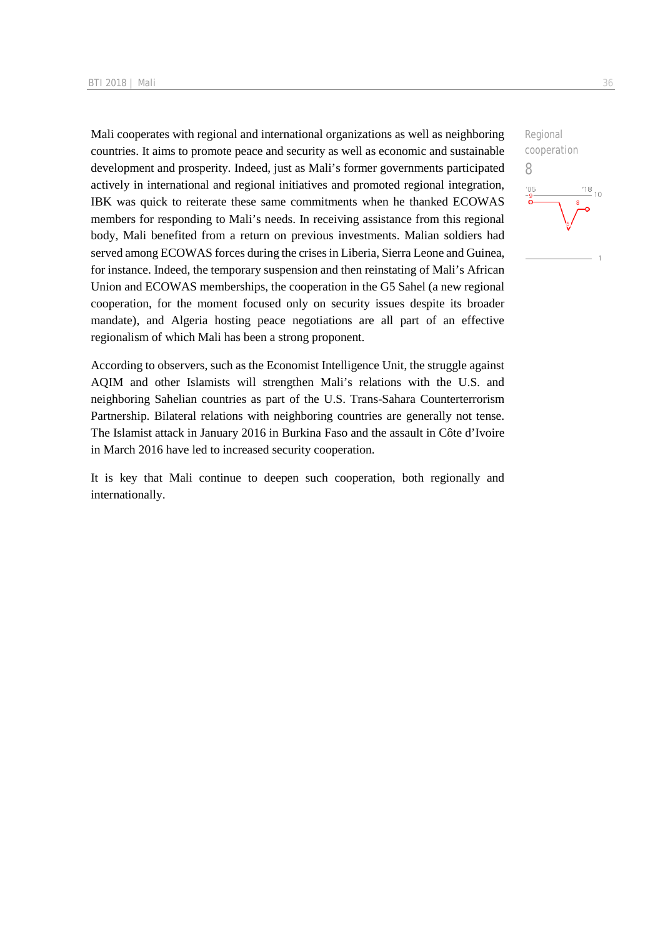Mali cooperates with regional and international organizations as well as neighboring countries. It aims to promote peace and security as well as economic and sustainable development and prosperity. Indeed, just as Mali's former governments participated actively in international and regional initiatives and promoted regional integration, IBK was quick to reiterate these same commitments when he thanked ECOWAS members for responding to Mali's needs. In receiving assistance from this regional body, Mali benefited from a return on previous investments. Malian soldiers had served among ECOWAS forces during the crises in Liberia, Sierra Leone and Guinea, for instance. Indeed, the temporary suspension and then reinstating of Mali's African Union and ECOWAS memberships, the cooperation in the G5 Sahel (a new regional cooperation, for the moment focused only on security issues despite its broader mandate), and Algeria hosting peace negotiations are all part of an effective regionalism of which Mali has been a strong proponent.

According to observers, such as the Economist Intelligence Unit, the struggle against AQIM and other Islamists will strengthen Mali's relations with the U.S. and neighboring Sahelian countries as part of the U.S. Trans-Sahara Counterterrorism Partnership. Bilateral relations with neighboring countries are generally not tense. The Islamist attack in January 2016 in Burkina Faso and the assault in Côte d'Ivoire in March 2016 have led to increased security cooperation.

It is key that Mali continue to deepen such cooperation, both regionally and internationally.

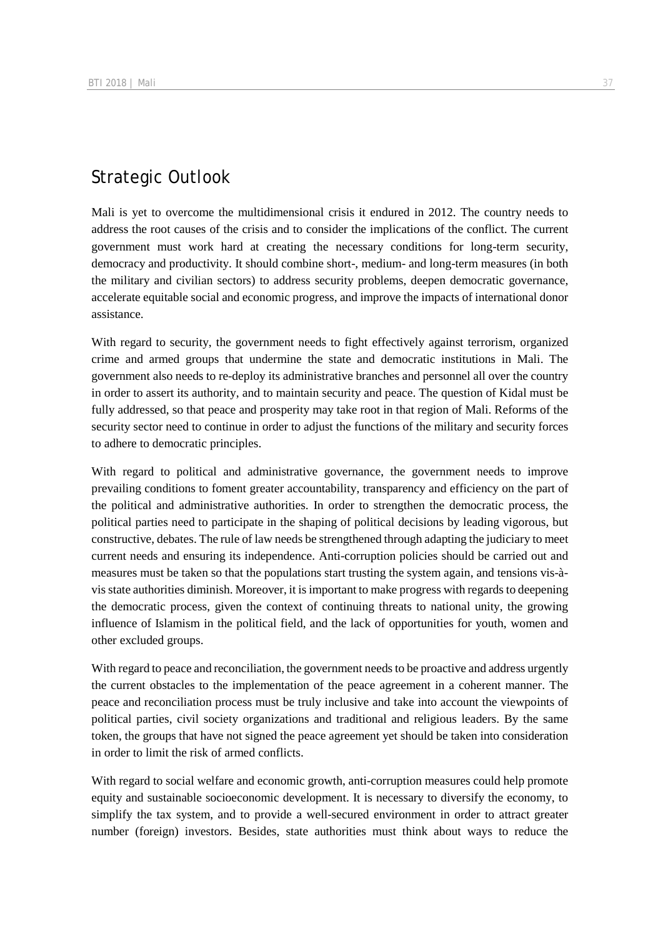## Strategic Outlook

Mali is yet to overcome the multidimensional crisis it endured in 2012. The country needs to address the root causes of the crisis and to consider the implications of the conflict. The current government must work hard at creating the necessary conditions for long-term security, democracy and productivity. It should combine short-, medium- and long-term measures (in both the military and civilian sectors) to address security problems, deepen democratic governance, accelerate equitable social and economic progress, and improve the impacts of international donor assistance.

With regard to security, the government needs to fight effectively against terrorism, organized crime and armed groups that undermine the state and democratic institutions in Mali. The government also needs to re-deploy its administrative branches and personnel all over the country in order to assert its authority, and to maintain security and peace. The question of Kidal must be fully addressed, so that peace and prosperity may take root in that region of Mali. Reforms of the security sector need to continue in order to adjust the functions of the military and security forces to adhere to democratic principles.

With regard to political and administrative governance, the government needs to improve prevailing conditions to foment greater accountability, transparency and efficiency on the part of the political and administrative authorities. In order to strengthen the democratic process, the political parties need to participate in the shaping of political decisions by leading vigorous, but constructive, debates. The rule of law needs be strengthened through adapting the judiciary to meet current needs and ensuring its independence. Anti-corruption policies should be carried out and measures must be taken so that the populations start trusting the system again, and tensions vis-àvis state authorities diminish. Moreover, it is important to make progress with regards to deepening the democratic process, given the context of continuing threats to national unity, the growing influence of Islamism in the political field, and the lack of opportunities for youth, women and other excluded groups.

With regard to peace and reconciliation, the government needs to be proactive and address urgently the current obstacles to the implementation of the peace agreement in a coherent manner. The peace and reconciliation process must be truly inclusive and take into account the viewpoints of political parties, civil society organizations and traditional and religious leaders. By the same token, the groups that have not signed the peace agreement yet should be taken into consideration in order to limit the risk of armed conflicts.

With regard to social welfare and economic growth, anti-corruption measures could help promote equity and sustainable socioeconomic development. It is necessary to diversify the economy, to simplify the tax system, and to provide a well-secured environment in order to attract greater number (foreign) investors. Besides, state authorities must think about ways to reduce the